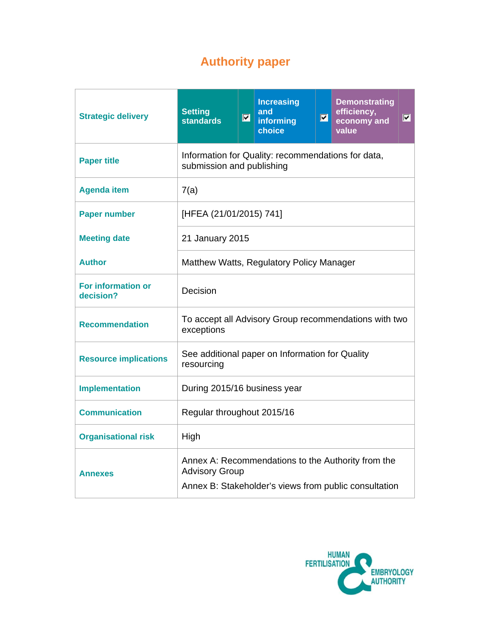# **Authority paper**

| <b>Strategic delivery</b>       | <b>Setting</b><br><b>standards</b>                                                                                                   | $\overline{\mathbf{z}}$ | <b>Increasing</b><br>and<br>informing<br>choice | $\blacksquare$ | <b>Demonstrating</b><br>efficiency,<br>economy and<br>value | $ \mathbf{v} $ |  |  |
|---------------------------------|--------------------------------------------------------------------------------------------------------------------------------------|-------------------------|-------------------------------------------------|----------------|-------------------------------------------------------------|----------------|--|--|
| <b>Paper title</b>              | Information for Quality: recommendations for data,<br>submission and publishing                                                      |                         |                                                 |                |                                                             |                |  |  |
| <b>Agenda item</b>              | 7(a)                                                                                                                                 |                         |                                                 |                |                                                             |                |  |  |
| <b>Paper number</b>             | [HFEA (21/01/2015) 741]                                                                                                              |                         |                                                 |                |                                                             |                |  |  |
| <b>Meeting date</b>             | 21 January 2015                                                                                                                      |                         |                                                 |                |                                                             |                |  |  |
| <b>Author</b>                   | Matthew Watts, Regulatory Policy Manager                                                                                             |                         |                                                 |                |                                                             |                |  |  |
| For information or<br>decision? | Decision                                                                                                                             |                         |                                                 |                |                                                             |                |  |  |
| <b>Recommendation</b>           | To accept all Advisory Group recommendations with two<br>exceptions                                                                  |                         |                                                 |                |                                                             |                |  |  |
| <b>Resource implications</b>    | See additional paper on Information for Quality<br>resourcing                                                                        |                         |                                                 |                |                                                             |                |  |  |
| <b>Implementation</b>           | During 2015/16 business year                                                                                                         |                         |                                                 |                |                                                             |                |  |  |
| <b>Communication</b>            | Regular throughout 2015/16                                                                                                           |                         |                                                 |                |                                                             |                |  |  |
| <b>Organisational risk</b>      | High                                                                                                                                 |                         |                                                 |                |                                                             |                |  |  |
| <b>Annexes</b>                  | Annex A: Recommendations to the Authority from the<br><b>Advisory Group</b><br>Annex B: Stakeholder's views from public consultation |                         |                                                 |                |                                                             |                |  |  |

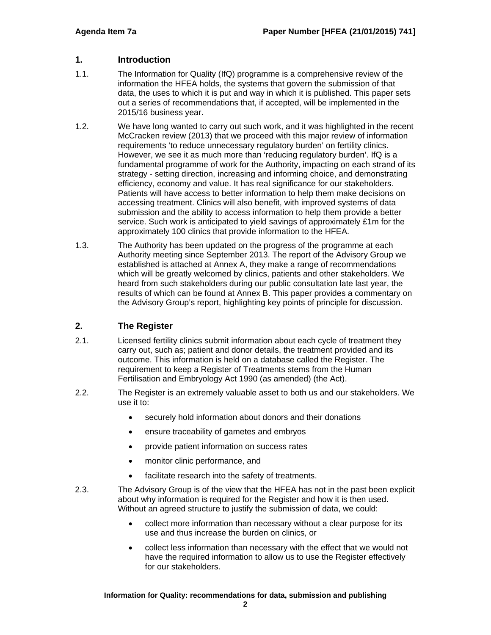## **1. Introduction**

- 1.1. The Information for Quality (IfQ) programme is a comprehensive review of the information the HFEA holds, the systems that govern the submission of that data, the uses to which it is put and way in which it is published. This paper sets out a series of recommendations that, if accepted, will be implemented in the 2015/16 business year.
- 1.2. We have long wanted to carry out such work, and it was highlighted in the recent McCracken review (2013) that we proceed with this major review of information requirements 'to reduce unnecessary regulatory burden' on fertility clinics. However, we see it as much more than 'reducing regulatory burden'. IfQ is a fundamental programme of work for the Authority, impacting on each strand of its strategy - setting direction, increasing and informing choice, and demonstrating efficiency, economy and value. It has real significance for our stakeholders. Patients will have access to better information to help them make decisions on accessing treatment. Clinics will also benefit, with improved systems of data submission and the ability to access information to help them provide a better service. Such work is anticipated to yield savings of approximately £1m for the approximately 100 clinics that provide information to the HFEA.
- 1.3. The Authority has been updated on the progress of the programme at each Authority meeting since September 2013. The report of the Advisory Group we established is attached at Annex A, they make a range of recommendations which will be greatly welcomed by clinics, patients and other stakeholders. We heard from such stakeholders during our public consultation late last year, the results of which can be found at Annex B. This paper provides a commentary on the Advisory Group's report, highlighting key points of principle for discussion.

# **2. The Register**

- 2.1. Licensed fertility clinics submit information about each cycle of treatment they carry out, such as; patient and donor details, the treatment provided and its outcome. This information is held on a database called the Register. The requirement to keep a Register of Treatments stems from the Human Fertilisation and Embryology Act 1990 (as amended) (the Act).
- 2.2. The Register is an extremely valuable asset to both us and our stakeholders. We use it to:
	- securely hold information about donors and their donations
	- ensure traceability of gametes and embryos
	- provide patient information on success rates
	- monitor clinic performance, and
	- facilitate research into the safety of treatments.
- 2.3. The Advisory Group is of the view that the HFEA has not in the past been explicit about why information is required for the Register and how it is then used. Without an agreed structure to justify the submission of data, we could:
	- collect more information than necessary without a clear purpose for its use and thus increase the burden on clinics, or
	- collect less information than necessary with the effect that we would not have the required information to allow us to use the Register effectively for our stakeholders.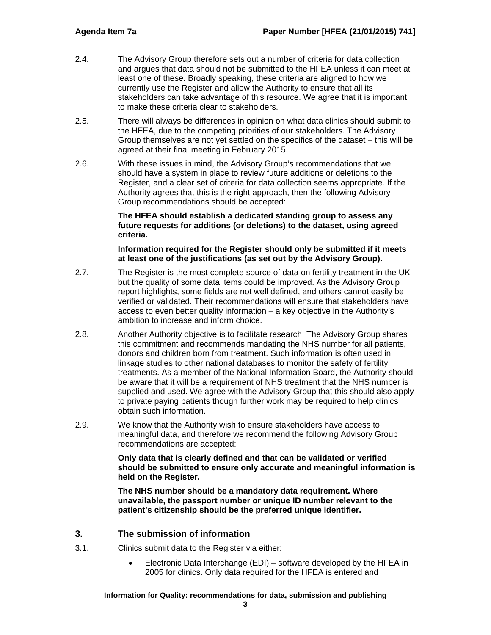- 2.4. The Advisory Group therefore sets out a number of criteria for data collection and argues that data should not be submitted to the HFEA unless it can meet at least one of these. Broadly speaking, these criteria are aligned to how we currently use the Register and allow the Authority to ensure that all its stakeholders can take advantage of this resource. We agree that it is important to make these criteria clear to stakeholders.
- 2.5. There will always be differences in opinion on what data clinics should submit to the HFEA, due to the competing priorities of our stakeholders. The Advisory Group themselves are not yet settled on the specifics of the dataset – this will be agreed at their final meeting in February 2015.
- 2.6. With these issues in mind, the Advisory Group's recommendations that we should have a system in place to review future additions or deletions to the Register, and a clear set of criteria for data collection seems appropriate. If the Authority agrees that this is the right approach, then the following Advisory Group recommendations should be accepted:

#### **The HFEA should establish a dedicated standing group to assess any future requests for additions (or deletions) to the dataset, using agreed criteria.**

#### **Information required for the Register should only be submitted if it meets at least one of the justifications (as set out by the Advisory Group).**

- 2.7. The Register is the most complete source of data on fertility treatment in the UK but the quality of some data items could be improved. As the Advisory Group report highlights, some fields are not well defined, and others cannot easily be verified or validated. Their recommendations will ensure that stakeholders have access to even better quality information – a key objective in the Authority's ambition to increase and inform choice.
- 2.8. Another Authority objective is to facilitate research. The Advisory Group shares this commitment and recommends mandating the NHS number for all patients, donors and children born from treatment. Such information is often used in linkage studies to other national databases to monitor the safety of fertility treatments. As a member of the National Information Board, the Authority should be aware that it will be a requirement of NHS treatment that the NHS number is supplied and used. We agree with the Advisory Group that this should also apply to private paying patients though further work may be required to help clinics obtain such information.
- 2.9. We know that the Authority wish to ensure stakeholders have access to meaningful data, and therefore we recommend the following Advisory Group recommendations are accepted:

**Only data that is clearly defined and that can be validated or verified should be submitted to ensure only accurate and meaningful information is held on the Register.** 

**The NHS number should be a mandatory data requirement. Where unavailable, the passport number or unique ID number relevant to the patient's citizenship should be the preferred unique identifier.** 

# **3. The submission of information**

- 3.1. Clinics submit data to the Register via either:
	- Electronic Data Interchange (EDI) software developed by the HFEA in 2005 for clinics. Only data required for the HFEA is entered and

#### **Information for Quality: recommendations for data, submission and publishing**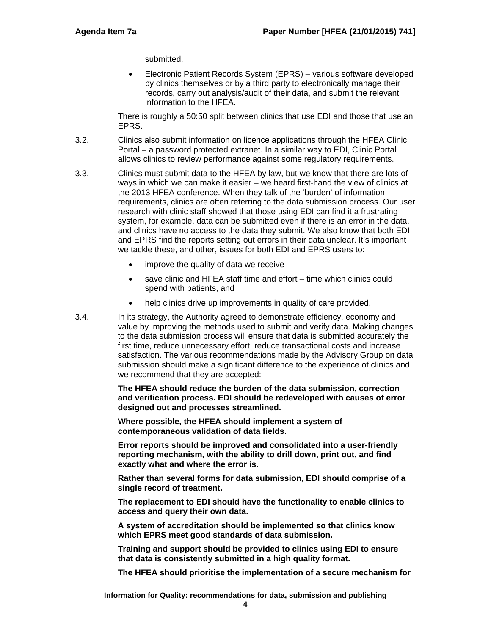submitted.

 Electronic Patient Records System (EPRS) – various software developed by clinics themselves or by a third party to electronically manage their records, carry out analysis/audit of their data, and submit the relevant information to the HFEA.

There is roughly a 50:50 split between clinics that use EDI and those that use an EPRS.

- 3.2. Clinics also submit information on licence applications through the HFEA Clinic Portal – a password protected extranet. In a similar way to EDI, Clinic Portal allows clinics to review performance against some regulatory requirements.
- 3.3. Clinics must submit data to the HFEA by law, but we know that there are lots of ways in which we can make it easier – we heard first-hand the view of clinics at the 2013 HFEA conference. When they talk of the 'burden' of information requirements, clinics are often referring to the data submission process. Our user research with clinic staff showed that those using EDI can find it a frustrating system, for example, data can be submitted even if there is an error in the data, and clinics have no access to the data they submit. We also know that both EDI and EPRS find the reports setting out errors in their data unclear. It's important we tackle these, and other, issues for both EDI and EPRS users to:
	- improve the quality of data we receive
	- save clinic and HFEA staff time and effort time which clinics could spend with patients, and
	- help clinics drive up improvements in quality of care provided.
- 3.4. In its strategy, the Authority agreed to demonstrate efficiency, economy and value by improving the methods used to submit and verify data. Making changes to the data submission process will ensure that data is submitted accurately the first time, reduce unnecessary effort, reduce transactional costs and increase satisfaction. The various recommendations made by the Advisory Group on data submission should make a significant difference to the experience of clinics and we recommend that they are accepted:

**The HFEA should reduce the burden of the data submission, correction and verification process. EDI should be redeveloped with causes of error designed out and processes streamlined.** 

**Where possible, the HFEA should implement a system of contemporaneous validation of data fields.** 

**Error reports should be improved and consolidated into a user-friendly reporting mechanism, with the ability to drill down, print out, and find exactly what and where the error is.** 

**Rather than several forms for data submission, EDI should comprise of a single record of treatment.** 

**The replacement to EDI should have the functionality to enable clinics to access and query their own data.** 

**A system of accreditation should be implemented so that clinics know which EPRS meet good standards of data submission.** 

**Training and support should be provided to clinics using EDI to ensure that data is consistently submitted in a high quality format.** 

**The HFEA should prioritise the implementation of a secure mechanism for**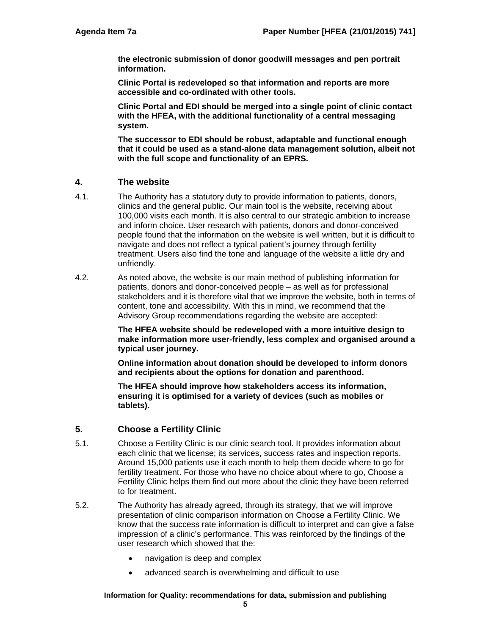**the electronic submission of donor goodwill messages and pen portrait information.** 

**Clinic Portal is redeveloped so that information and reports are more accessible and co-ordinated with other tools.** 

**Clinic Portal and EDI should be merged into a single point of clinic contact with the HFEA, with the additional functionality of a central messaging system.** 

**The successor to EDI should be robust, adaptable and functional enough that it could be used as a stand-alone data management solution, albeit not with the full scope and functionality of an EPRS.** 

### **4. The website**

- 4.1. The Authority has a statutory duty to provide information to patients, donors, clinics and the general public. Our main tool is the website, receiving about 100,000 visits each month. It is also central to our strategic ambition to increase and inform choice. User research with patients, donors and donor-conceived people found that the information on the website is well written, but it is difficult to navigate and does not reflect a typical patient's journey through fertility treatment. Users also find the tone and language of the website a little dry and unfriendly.
- 4.2. As noted above, the website is our main method of publishing information for patients, donors and donor-conceived people – as well as for professional stakeholders and it is therefore vital that we improve the website, both in terms of content, tone and accessibility. With this in mind, we recommend that the Advisory Group recommendations regarding the website are accepted:

**The HFEA website should be redeveloped with a more intuitive design to make information more user-friendly, less complex and organised around a typical user journey.** 

**Online information about donation should be developed to inform donors and recipients about the options for donation and parenthood.** 

**The HFEA should improve how stakeholders access its information, ensuring it is optimised for a variety of devices (such as mobiles or tablets).** 

## **5. Choose a Fertility Clinic**

- 5.1. Choose a Fertility Clinic is our clinic search tool. It provides information about each clinic that we license; its services, success rates and inspection reports. Around 15,000 patients use it each month to help them decide where to go for fertility treatment. For those who have no choice about where to go, Choose a Fertility Clinic helps them find out more about the clinic they have been referred to for treatment.
- 5.2. The Authority has already agreed, through its strategy, that we will improve presentation of clinic comparison information on Choose a Fertility Clinic. We know that the success rate information is difficult to interpret and can give a false impression of a clinic's performance. This was reinforced by the findings of the user research which showed that the:
	- navigation is deep and complex
	- advanced search is overwhelming and difficult to use

#### **Information for Quality: recommendations for data, submission and publishing**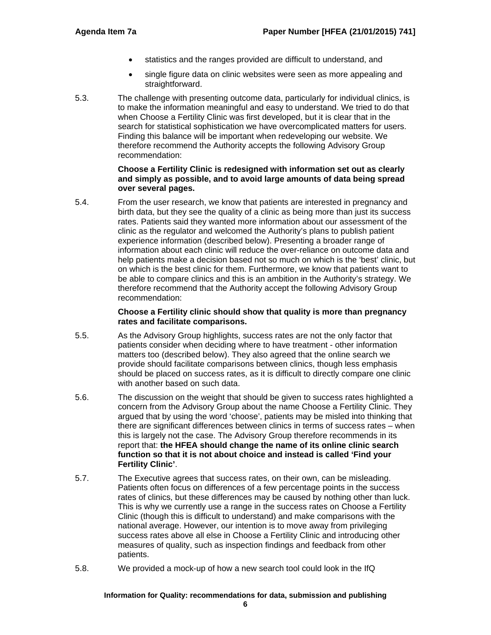- statistics and the ranges provided are difficult to understand, and
- single figure data on clinic websites were seen as more appealing and straightforward.
- 5.3. The challenge with presenting outcome data, particularly for individual clinics, is to make the information meaningful and easy to understand. We tried to do that when Choose a Fertility Clinic was first developed, but it is clear that in the search for statistical sophistication we have overcomplicated matters for users. Finding this balance will be important when redeveloping our website. We therefore recommend the Authority accepts the following Advisory Group recommendation:

#### **Choose a Fertility Clinic is redesigned with information set out as clearly and simply as possible, and to avoid large amounts of data being spread over several pages.**

5.4. From the user research, we know that patients are interested in pregnancy and birth data, but they see the quality of a clinic as being more than just its success rates. Patients said they wanted more information about our assessment of the clinic as the regulator and welcomed the Authority's plans to publish patient experience information (described below). Presenting a broader range of information about each clinic will reduce the over-reliance on outcome data and help patients make a decision based not so much on which is the 'best' clinic, but on which is the best clinic for them. Furthermore, we know that patients want to be able to compare clinics and this is an ambition in the Authority's strategy. We therefore recommend that the Authority accept the following Advisory Group recommendation:

#### **Choose a Fertility clinic should show that quality is more than pregnancy rates and facilitate comparisons.**

- 5.5. As the Advisory Group highlights, success rates are not the only factor that patients consider when deciding where to have treatment - other information matters too (described below). They also agreed that the online search we provide should facilitate comparisons between clinics, though less emphasis should be placed on success rates, as it is difficult to directly compare one clinic with another based on such data.
- 5.6. The discussion on the weight that should be given to success rates highlighted a concern from the Advisory Group about the name Choose a Fertility Clinic. They argued that by using the word 'choose', patients may be misled into thinking that there are significant differences between clinics in terms of success rates – when this is largely not the case. The Advisory Group therefore recommends in its report that: **the HFEA should change the name of its online clinic search function so that it is not about choice and instead is called 'Find your Fertility Clinic'**.
- 5.7. The Executive agrees that success rates, on their own, can be misleading. Patients often focus on differences of a few percentage points in the success rates of clinics, but these differences may be caused by nothing other than luck. This is why we currently use a range in the success rates on Choose a Fertility Clinic (though this is difficult to understand) and make comparisons with the national average. However, our intention is to move away from privileging success rates above all else in Choose a Fertility Clinic and introducing other measures of quality, such as inspection findings and feedback from other patients.
- 5.8. We provided a mock-up of how a new search tool could look in the IfQ

#### **Information for Quality: recommendations for data, submission and publishing**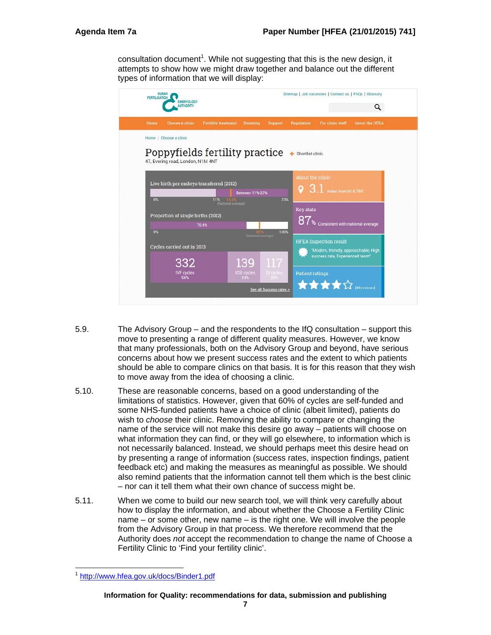consultation document<sup>1</sup>. While not suggesting that this is the new design, it attempts to show how we might draw together and balance out the different types of information that we will display:

| Sitemap   Job vacancies   Contact us   FAQs   Glossary<br>HUMAN<br>FERTILISATION<br><b>EMBRYOLOGY</b><br><b>NUTHORITY</b><br>Q |                                |                         |                        |                                                                        |                       |
|--------------------------------------------------------------------------------------------------------------------------------|--------------------------------|-------------------------|------------------------|------------------------------------------------------------------------|-----------------------|
| <b>Fertility treatment</b><br>Home<br>Choose a clinic                                                                          | <b>Donating</b>                | <b>Support</b>          | Regulation             | For clinic staff                                                       | <b>About the HFEA</b> |
| Home / Choose a clinic                                                                                                         |                                |                         |                        |                                                                        |                       |
| Poppyfields fertility practice                                                                                                 |                                |                         | Shortlist clinic       |                                                                        |                       |
| 47, Evering road, London, N1M 4NT                                                                                              |                                |                         |                        |                                                                        |                       |
| Live birth per embryo transferred (2012)                                                                                       |                                |                         | About the clinic       |                                                                        |                       |
|                                                                                                                                | <b>Between 11%-23%</b>         |                         |                        | $\sqrt{9}$ 3.1 miles from N16 7RE                                      |                       |
| 0 <sup>th</sup><br>11%                                                                                                         | $-13.64$<br>(National average) | 23%                     | <b>Key stats</b>       |                                                                        |                       |
| Proportion of single births (2012)<br>70.4%                                                                                    |                                |                         | $87*$                  | Consistent with national average                                       |                       |
| $0\%$                                                                                                                          | (National average)             | 100%                    |                        |                                                                        |                       |
| Cycles carried out in 2013                                                                                                     |                                |                         |                        | <b>HFEA</b> Inspection result<br>"Modern, friendly, approachable, High |                       |
|                                                                                                                                |                                |                         |                        | success rate, Experienced team"                                        |                       |
|                                                                                                                                |                                |                         |                        |                                                                        |                       |
| 332<br><b>IVF</b> cycles<br>56%                                                                                                | 139<br>ICSI cycles<br>24%      | 117<br>Di cycles<br>20% | <b>Patient ratings</b> |                                                                        |                       |

- 5.9. The Advisory Group and the respondents to the IfQ consultation support this move to presenting a range of different quality measures. However, we know that many professionals, both on the Advisory Group and beyond, have serious concerns about how we present success rates and the extent to which patients should be able to compare clinics on that basis. It is for this reason that they wish to move away from the idea of choosing a clinic.
- 5.10. These are reasonable concerns, based on a good understanding of the limitations of statistics. However, given that 60% of cycles are self-funded and some NHS-funded patients have a choice of clinic (albeit limited), patients do wish to *choose* their clinic. Removing the ability to compare or changing the name of the service will not make this desire go away – patients will choose on what information they can find, or they will go elsewhere, to information which is not necessarily balanced. Instead, we should perhaps meet this desire head on by presenting a range of information (success rates, inspection findings, patient feedback etc) and making the measures as meaningful as possible. We should also remind patients that the information cannot tell them which is the best clinic – nor can it tell them what their own chance of success might be.
- 5.11. When we come to build our new search tool, we will think very carefully about how to display the information, and about whether the Choose a Fertility Clinic name – or some other, new name – is the right one. We will involve the people from the Advisory Group in that process. We therefore recommend that the Authority does *not* accept the recommendation to change the name of Choose a Fertility Clinic to 'Find your fertility clinic'.

http://www.hfea.gov.uk/docs/Binder1.pdf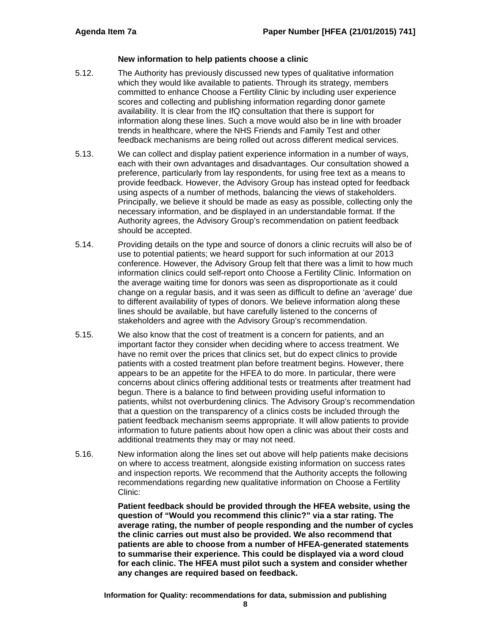#### **New information to help patients choose a clinic**

- 5.12. The Authority has previously discussed new types of qualitative information which they would like available to patients. Through its strategy, members committed to enhance Choose a Fertility Clinic by including user experience scores and collecting and publishing information regarding donor gamete availability. It is clear from the IfQ consultation that there is support for information along these lines. Such a move would also be in line with broader trends in healthcare, where the NHS Friends and Family Test and other feedback mechanisms are being rolled out across different medical services.
- 5.13. We can collect and display patient experience information in a number of ways, each with their own advantages and disadvantages. Our consultation showed a preference, particularly from lay respondents, for using free text as a means to provide feedback. However, the Advisory Group has instead opted for feedback using aspects of a number of methods, balancing the views of stakeholders. Principally, we believe it should be made as easy as possible, collecting only the necessary information, and be displayed in an understandable format. If the Authority agrees, the Advisory Group's recommendation on patient feedback should be accepted.
- 5.14. Providing details on the type and source of donors a clinic recruits will also be of use to potential patients; we heard support for such information at our 2013 conference. However, the Advisory Group felt that there was a limit to how much information clinics could self-report onto Choose a Fertility Clinic. Information on the average waiting time for donors was seen as disproportionate as it could change on a regular basis, and it was seen as difficult to define an 'average' due to different availability of types of donors. We believe information along these lines should be available, but have carefully listened to the concerns of stakeholders and agree with the Advisory Group's recommendation.
- 5.15. We also know that the cost of treatment is a concern for patients, and an important factor they consider when deciding where to access treatment. We have no remit over the prices that clinics set, but do expect clinics to provide patients with a costed treatment plan before treatment begins. However, there appears to be an appetite for the HFEA to do more. In particular, there were concerns about clinics offering additional tests or treatments after treatment had begun. There is a balance to find between providing useful information to patients, whilst not overburdening clinics. The Advisory Group's recommendation that a question on the transparency of a clinics costs be included through the patient feedback mechanism seems appropriate. It will allow patients to provide information to future patients about how open a clinic was about their costs and additional treatments they may or may not need.
- 5.16. New information along the lines set out above will help patients make decisions on where to access treatment, alongside existing information on success rates and inspection reports. We recommend that the Authority accepts the following recommendations regarding new qualitative information on Choose a Fertility Clinic:

**Patient feedback should be provided through the HFEA website, using the question of "Would you recommend this clinic?" via a star rating. The average rating, the number of people responding and the number of cycles the clinic carries out must also be provided. We also recommend that patients are able to choose from a number of HFEA-generated statements to summarise their experience. This could be displayed via a word cloud for each clinic. The HFEA must pilot such a system and consider whether any changes are required based on feedback.** 

**Information for Quality: recommendations for data, submission and publishing**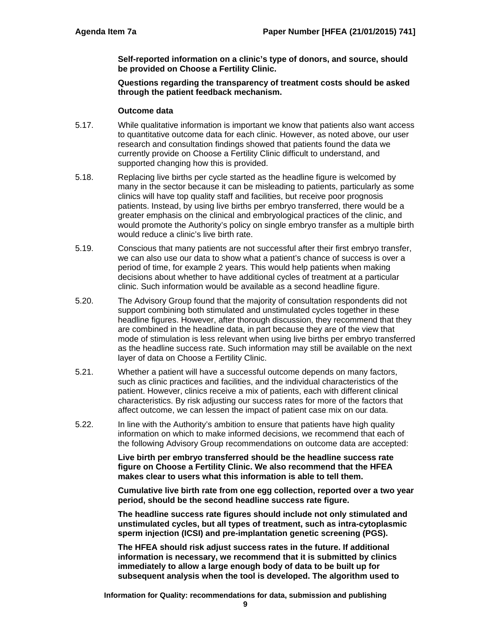**Self-reported information on a clinic's type of donors, and source, should be provided on Choose a Fertility Clinic.** 

**Questions regarding the transparency of treatment costs should be asked through the patient feedback mechanism.** 

#### **Outcome data**

- 5.17. While qualitative information is important we know that patients also want access to quantitative outcome data for each clinic. However, as noted above, our user research and consultation findings showed that patients found the data we currently provide on Choose a Fertility Clinic difficult to understand, and supported changing how this is provided.
- 5.18. Replacing live births per cycle started as the headline figure is welcomed by many in the sector because it can be misleading to patients, particularly as some clinics will have top quality staff and facilities, but receive poor prognosis patients. Instead, by using live births per embryo transferred, there would be a greater emphasis on the clinical and embryological practices of the clinic, and would promote the Authority's policy on single embryo transfer as a multiple birth would reduce a clinic's live birth rate.
- 5.19. Conscious that many patients are not successful after their first embryo transfer, we can also use our data to show what a patient's chance of success is over a period of time, for example 2 years. This would help patients when making decisions about whether to have additional cycles of treatment at a particular clinic. Such information would be available as a second headline figure.
- 5.20. The Advisory Group found that the majority of consultation respondents did not support combining both stimulated and unstimulated cycles together in these headline figures. However, after thorough discussion, they recommend that they are combined in the headline data, in part because they are of the view that mode of stimulation is less relevant when using live births per embryo transferred as the headline success rate. Such information may still be available on the next layer of data on Choose a Fertility Clinic.
- 5.21. Whether a patient will have a successful outcome depends on many factors, such as clinic practices and facilities, and the individual characteristics of the patient. However, clinics receive a mix of patients, each with different clinical characteristics. By risk adjusting our success rates for more of the factors that affect outcome, we can lessen the impact of patient case mix on our data.
- 5.22. In line with the Authority's ambition to ensure that patients have high quality information on which to make informed decisions, we recommend that each of the following Advisory Group recommendations on outcome data are accepted:

**Live birth per embryo transferred should be the headline success rate figure on Choose a Fertility Clinic. We also recommend that the HFEA makes clear to users what this information is able to tell them.** 

**Cumulative live birth rate from one egg collection, reported over a two year period, should be the second headline success rate figure.** 

**The headline success rate figures should include not only stimulated and unstimulated cycles, but all types of treatment, such as intra-cytoplasmic sperm injection (ICSI) and pre-implantation genetic screening (PGS).** 

**The HFEA should risk adjust success rates in the future. If additional information is necessary, we recommend that it is submitted by clinics immediately to allow a large enough body of data to be built up for subsequent analysis when the tool is developed. The algorithm used to** 

**Information for Quality: recommendations for data, submission and publishing**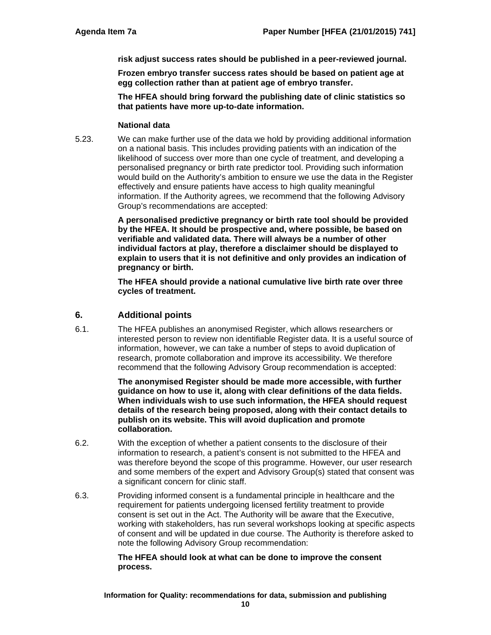**risk adjust success rates should be published in a peer-reviewed journal.** 

**Frozen embryo transfer success rates should be based on patient age at egg collection rather than at patient age of embryo transfer.** 

**The HFEA should bring forward the publishing date of clinic statistics so that patients have more up-to-date information.** 

#### **National data**

5.23. We can make further use of the data we hold by providing additional information on a national basis. This includes providing patients with an indication of the likelihood of success over more than one cycle of treatment, and developing a personalised pregnancy or birth rate predictor tool. Providing such information would build on the Authority's ambition to ensure we use the data in the Register effectively and ensure patients have access to high quality meaningful information. If the Authority agrees, we recommend that the following Advisory Group's recommendations are accepted:

> **A personalised predictive pregnancy or birth rate tool should be provided by the HFEA. It should be prospective and, where possible, be based on verifiable and validated data. There will always be a number of other individual factors at play, therefore a disclaimer should be displayed to explain to users that it is not definitive and only provides an indication of pregnancy or birth.**

**The HFEA should provide a national cumulative live birth rate over three cycles of treatment.** 

## **6. Additional points**

6.1. The HFEA publishes an anonymised Register, which allows researchers or interested person to review non identifiable Register data. It is a useful source of information, however, we can take a number of steps to avoid duplication of research, promote collaboration and improve its accessibility. We therefore recommend that the following Advisory Group recommendation is accepted:

> **The anonymised Register should be made more accessible, with further guidance on how to use it, along with clear definitions of the data fields. When individuals wish to use such information, the HFEA should request details of the research being proposed, along with their contact details to publish on its website. This will avoid duplication and promote collaboration.**

- 6.2. With the exception of whether a patient consents to the disclosure of their information to research, a patient's consent is not submitted to the HFEA and was therefore beyond the scope of this programme. However, our user research and some members of the expert and Advisory Group(s) stated that consent was a significant concern for clinic staff.
- 6.3. Providing informed consent is a fundamental principle in healthcare and the requirement for patients undergoing licensed fertility treatment to provide consent is set out in the Act. The Authority will be aware that the Executive, working with stakeholders, has run several workshops looking at specific aspects of consent and will be updated in due course. The Authority is therefore asked to note the following Advisory Group recommendation:

#### **The HFEA should look at what can be done to improve the consent process.**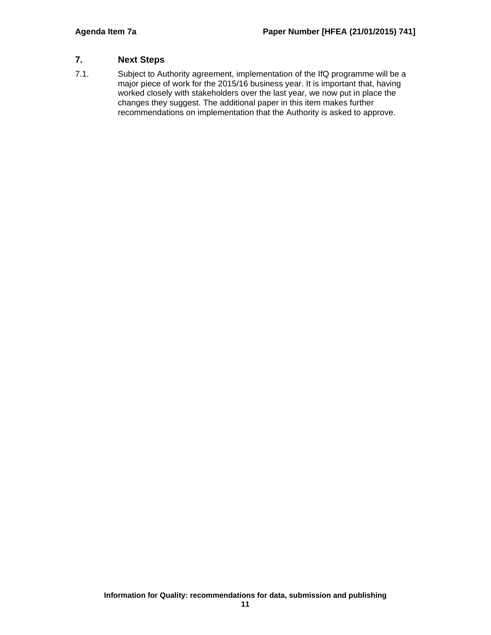# **7. Next Steps**

7.1. Subject to Authority agreement, implementation of the IfQ programme will be a major piece of work for the 2015/16 business year. It is important that, having worked closely with stakeholders over the last year, we now put in place the changes they suggest. The additional paper in this item makes further recommendations on implementation that the Authority is asked to approve.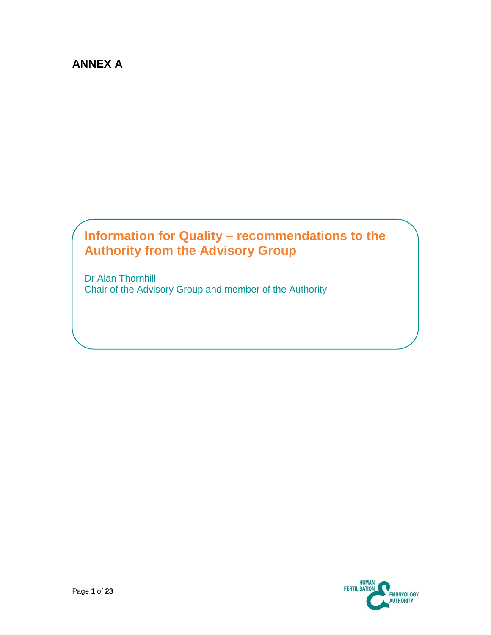# **ANNEX A**

# **Information for Quality – recommendations to the Authority from the Advisory Group**

Dr Alan Thornhill Chair of the Advisory Group and member of the Authority

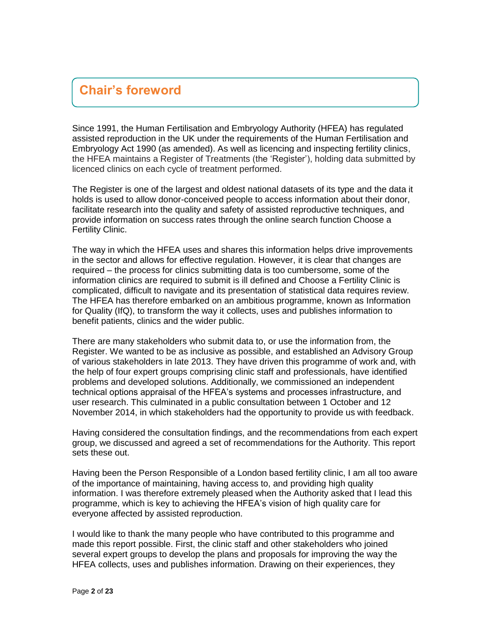# **Chair's foreword**

Since 1991, the Human Fertilisation and Embryology Authority (HFEA) has regulated assisted reproduction in the UK under the requirements of the Human Fertilisation and Embryology Act 1990 (as amended). As well as licencing and inspecting fertility clinics, the HFEA maintains a Register of Treatments (the 'Register'), holding data submitted by licenced clinics on each cycle of treatment performed.

The Register is one of the largest and oldest national datasets of its type and the data it holds is used to allow donor-conceived people to access information about their donor, facilitate research into the quality and safety of assisted reproductive techniques, and provide information on success rates through the online search function Choose a Fertility Clinic.

The way in which the HFEA uses and shares this information helps drive improvements in the sector and allows for effective regulation. However, it is clear that changes are required – the process for clinics submitting data is too cumbersome, some of the information clinics are required to submit is ill defined and Choose a Fertility Clinic is complicated, difficult to navigate and its presentation of statistical data requires review. The HFEA has therefore embarked on an ambitious programme, known as Information for Quality (IfQ), to transform the way it collects, uses and publishes information to benefit patients, clinics and the wider public.

There are many stakeholders who submit data to, or use the information from, the Register. We wanted to be as inclusive as possible, and established an Advisory Group of various stakeholders in late 2013. They have driven this programme of work and, with the help of four expert groups comprising clinic staff and professionals, have identified problems and developed solutions. Additionally, we commissioned an independent technical options appraisal of the HFEA's systems and processes infrastructure, and user research. This culminated in a public consultation between 1 October and 12 November 2014, in which stakeholders had the opportunity to provide us with feedback.

Having considered the consultation findings, and the recommendations from each expert group, we discussed and agreed a set of recommendations for the Authority. This report sets these out.

Having been the Person Responsible of a London based fertility clinic, I am all too aware of the importance of maintaining, having access to, and providing high quality information. I was therefore extremely pleased when the Authority asked that I lead this programme, which is key to achieving the HFEA's vision of high quality care for everyone affected by assisted reproduction.

I would like to thank the many people who have contributed to this programme and made this report possible. First, the clinic staff and other stakeholders who joined several expert groups to develop the plans and proposals for improving the way the HFEA collects, uses and publishes information. Drawing on their experiences, they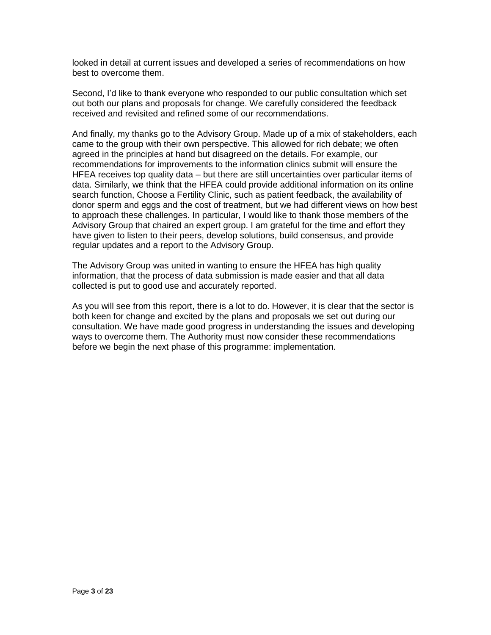looked in detail at current issues and developed a series of recommendations on how best to overcome them.

Second, I'd like to thank everyone who responded to our public consultation which set out both our plans and proposals for change. We carefully considered the feedback received and revisited and refined some of our recommendations.

And finally, my thanks go to the Advisory Group. Made up of a mix of stakeholders, each came to the group with their own perspective. This allowed for rich debate; we often agreed in the principles at hand but disagreed on the details. For example, our recommendations for improvements to the information clinics submit will ensure the HFEA receives top quality data – but there are still uncertainties over particular items of data. Similarly, we think that the HFEA could provide additional information on its online search function, Choose a Fertility Clinic, such as patient feedback, the availability of donor sperm and eggs and the cost of treatment, but we had different views on how best to approach these challenges. In particular, I would like to thank those members of the Advisory Group that chaired an expert group. I am grateful for the time and effort they have given to listen to their peers, develop solutions, build consensus, and provide regular updates and a report to the Advisory Group.

The Advisory Group was united in wanting to ensure the HFEA has high quality information, that the process of data submission is made easier and that all data collected is put to good use and accurately reported.

As you will see from this report, there is a lot to do. However, it is clear that the sector is both keen for change and excited by the plans and proposals we set out during our consultation. We have made good progress in understanding the issues and developing ways to overcome them. The Authority must now consider these recommendations before we begin the next phase of this programme: implementation.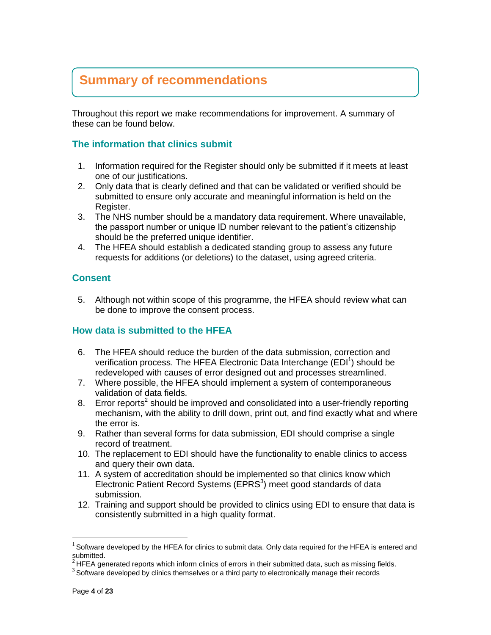# **Summary of recommendations**

Throughout this report we make recommendations for improvement. A summary of these can be found below.

# **The information that clinics submit**

- 1. Information required for the Register should only be submitted if it meets at least one of our justifications.
- 2. Only data that is clearly defined and that can be validated or verified should be submitted to ensure only accurate and meaningful information is held on the Register.
- 3. The NHS number should be a mandatory data requirement. Where unavailable, the passport number or unique ID number relevant to the patient's citizenship should be the preferred unique identifier.
- 4. The HFEA should establish a dedicated standing group to assess any future requests for additions (or deletions) to the dataset, using agreed criteria.

# **Consent**

5. Although not within scope of this programme, the HFEA should review what can be done to improve the consent process.

# **How data is submitted to the HFEA**

- 6. The HFEA should reduce the burden of the data submission, correction and verification process. The HFEA Electronic Data Interchange (EDI<sup>1</sup>) should be redeveloped with causes of error designed out and processes streamlined.
- 7. Where possible, the HFEA should implement a system of contemporaneous validation of data fields.
- 8. Error reports<sup>2</sup> should be improved and consolidated into a user-friendly reporting mechanism, with the ability to drill down, print out, and find exactly what and where the error is.
- 9. Rather than several forms for data submission, EDI should comprise a single record of treatment.
- 10. The replacement to EDI should have the functionality to enable clinics to access and query their own data.
- 11. A system of accreditation should be implemented so that clinics know which Electronic Patient Record Systems ( $EPRS<sup>3</sup>$ ) meet good standards of data submission.
- 12. Training and support should be provided to clinics using EDI to ensure that data is consistently submitted in a high quality format.

 $\overline{a}$ 

 $1$  Software developed by the HFEA for clinics to submit data. Only data required for the HFEA is entered and submitted.

 $2$ HFEA generated reports which inform clinics of errors in their submitted data, such as missing fields.

 $3$  Software developed by clinics themselves or a third party to electronically manage their records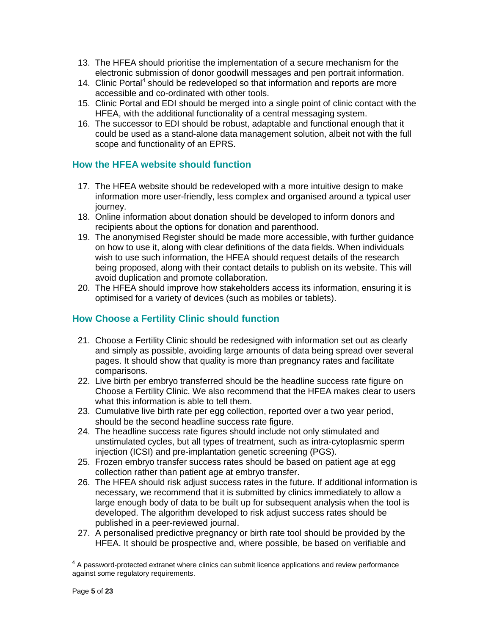- 13. The HFEA should prioritise the implementation of a secure mechanism for the electronic submission of donor goodwill messages and pen portrait information.
- 14. Clinic Portal<sup>4</sup> should be redeveloped so that information and reports are more accessible and co-ordinated with other tools.
- 15. Clinic Portal and EDI should be merged into a single point of clinic contact with the HFEA, with the additional functionality of a central messaging system.
- 16. The successor to EDI should be robust, adaptable and functional enough that it could be used as a stand-alone data management solution, albeit not with the full scope and functionality of an EPRS.

# **How the HFEA website should function**

- 17. The HFEA website should be redeveloped with a more intuitive design to make information more user-friendly, less complex and organised around a typical user journey.
- 18. Online information about donation should be developed to inform donors and recipients about the options for donation and parenthood.
- 19. The anonymised Register should be made more accessible, with further guidance on how to use it, along with clear definitions of the data fields. When individuals wish to use such information, the HFEA should request details of the research being proposed, along with their contact details to publish on its website. This will avoid duplication and promote collaboration.
- 20. The HFEA should improve how stakeholders access its information, ensuring it is optimised for a variety of devices (such as mobiles or tablets).

# **How Choose a Fertility Clinic should function**

- 21. Choose a Fertility Clinic should be redesigned with information set out as clearly and simply as possible, avoiding large amounts of data being spread over several pages. It should show that quality is more than pregnancy rates and facilitate comparisons.
- 22. Live birth per embryo transferred should be the headline success rate figure on Choose a Fertility Clinic. We also recommend that the HFEA makes clear to users what this information is able to tell them.
- 23. Cumulative live birth rate per egg collection, reported over a two year period, should be the second headline success rate figure.
- 24. The headline success rate figures should include not only stimulated and unstimulated cycles, but all types of treatment, such as intra-cytoplasmic sperm injection (ICSI) and pre-implantation genetic screening (PGS).
- 25. Frozen embryo transfer success rates should be based on patient age at egg collection rather than patient age at embryo transfer.
- 26. The HFEA should risk adjust success rates in the future. If additional information is necessary, we recommend that it is submitted by clinics immediately to allow a large enough body of data to be built up for subsequent analysis when the tool is developed. The algorithm developed to risk adjust success rates should be published in a peer-reviewed journal.
- 27. A personalised predictive pregnancy or birth rate tool should be provided by the HFEA. It should be prospective and, where possible, be based on verifiable and

eral A password-protected extranet where clinics can submit licence applications and review performance<br>A password-protected extranet where clinics can submit licence applications and review performance against some regulatory requirements.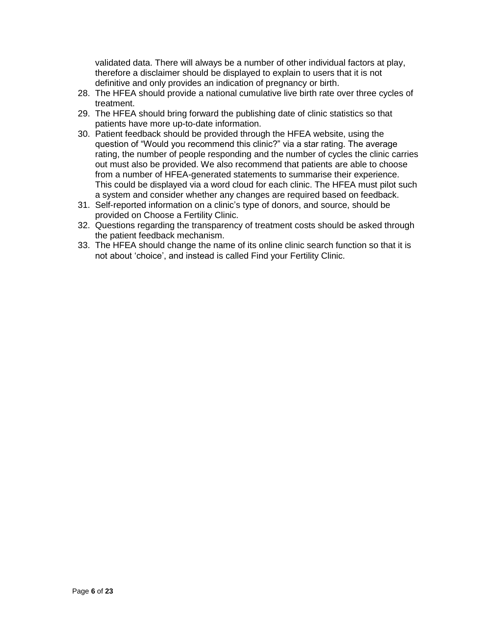validated data. There will always be a number of other individual factors at play, therefore a disclaimer should be displayed to explain to users that it is not definitive and only provides an indication of pregnancy or birth.

- 28. The HFEA should provide a national cumulative live birth rate over three cycles of treatment.
- 29. The HFEA should bring forward the publishing date of clinic statistics so that patients have more up-to-date information.
- 30. Patient feedback should be provided through the HFEA website, using the question of "Would you recommend this clinic?" via a star rating. The average rating, the number of people responding and the number of cycles the clinic carries out must also be provided. We also recommend that patients are able to choose from a number of HFEA-generated statements to summarise their experience. This could be displayed via a word cloud for each clinic. The HFEA must pilot such a system and consider whether any changes are required based on feedback.
- 31. Self-reported information on a clinic's type of donors, and source, should be provided on Choose a Fertility Clinic.
- 32. Questions regarding the transparency of treatment costs should be asked through the patient feedback mechanism.
- 33. The HFEA should change the name of its online clinic search function so that it is not about 'choice', and instead is called Find your Fertility Clinic.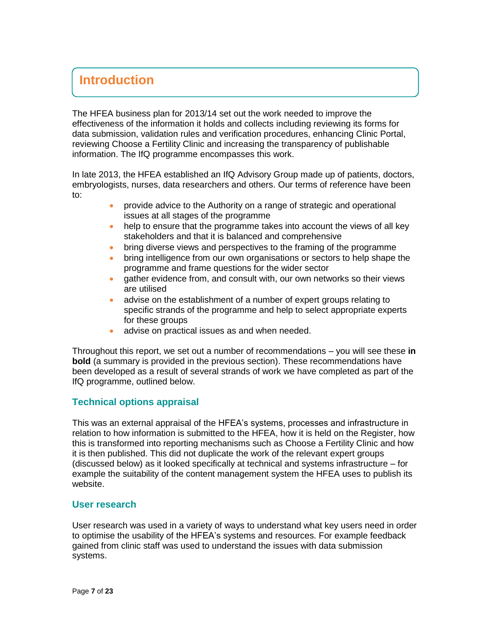# **Introduction**

The HFEA business plan for 2013/14 set out the work needed to improve the effectiveness of the information it holds and collects including reviewing its forms for data submission, validation rules and verification procedures, enhancing Clinic Portal, reviewing Choose a Fertility Clinic and increasing the transparency of publishable information. The IfQ programme encompasses this work.

In late 2013, the HFEA established an IfQ Advisory Group made up of patients, doctors, embryologists, nurses, data researchers and others. Our terms of reference have been to:

- provide advice to the Authority on a range of strategic and operational issues at all stages of the programme
- help to ensure that the programme takes into account the views of all key stakeholders and that it is balanced and comprehensive
- bring diverse views and perspectives to the framing of the programme
- bring intelligence from our own organisations or sectors to help shape the programme and frame questions for the wider sector
- gather evidence from, and consult with, our own networks so their views are utilised
- advise on the establishment of a number of expert groups relating to specific strands of the programme and help to select appropriate experts for these groups
- advise on practical issues as and when needed.

Throughout this report, we set out a number of recommendations – you will see these **in bold** (a summary is provided in the previous section). These recommendations have been developed as a result of several strands of work we have completed as part of the IfQ programme, outlined below.

# **Technical options appraisal**

This was an external appraisal of the HFEA's systems, processes and infrastructure in relation to how information is submitted to the HFEA, how it is held on the Register, how this is transformed into reporting mechanisms such as Choose a Fertility Clinic and how it is then published. This did not duplicate the work of the relevant expert groups (discussed below) as it looked specifically at technical and systems infrastructure – for example the suitability of the content management system the HFEA uses to publish its website.

# **User research**

User research was used in a variety of ways to understand what key users need in order to optimise the usability of the HFEA's systems and resources. For example feedback gained from clinic staff was used to understand the issues with data submission systems.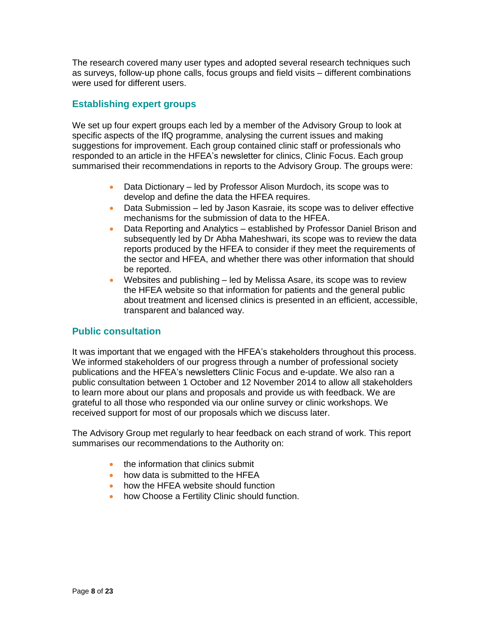The research covered many user types and adopted several research techniques such as surveys, follow-up phone calls, focus groups and field visits – different combinations were used for different users.

# **Establishing expert groups**

We set up four expert groups each led by a member of the Advisory Group to look at specific aspects of the IfQ programme, analysing the current issues and making suggestions for improvement. Each group contained clinic staff or professionals who responded to an article in the HFEA's newsletter for clinics, Clinic Focus. Each group summarised their recommendations in reports to the Advisory Group. The groups were:

- Data Dictionary led by Professor Alison Murdoch, its scope was to develop and define the data the HFEA requires.
- Data Submission led by Jason Kasraie, its scope was to deliver effective mechanisms for the submission of data to the HFEA.
- Data Reporting and Analytics established by Professor Daniel Brison and subsequently led by Dr Abha Maheshwari, its scope was to review the data reports produced by the HFEA to consider if they meet the requirements of the sector and HFEA, and whether there was other information that should be reported.
- Websites and publishing led by Melissa Asare, its scope was to review the HFEA website so that information for patients and the general public about treatment and licensed clinics is presented in an efficient, accessible, transparent and balanced way.

# **Public consultation**

It was important that we engaged with the HFEA's stakeholders throughout this process. We informed stakeholders of our progress through a number of professional society publications and the HFEA's newsletters Clinic Focus and e-update. We also ran a public consultation between 1 October and 12 November 2014 to allow all stakeholders to learn more about our plans and proposals and provide us with feedback. We are grateful to all those who responded via our online survey or clinic workshops. We received support for most of our proposals which we discuss later.

The Advisory Group met regularly to hear feedback on each strand of work. This report summarises our recommendations to the Authority on:

- the information that clinics submit
- how data is submitted to the HFEA
- how the HFEA website should function
- how Choose a Fertility Clinic should function.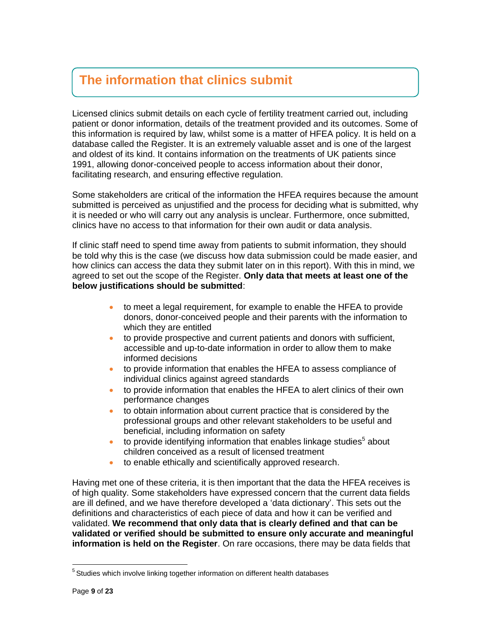# **The information that clinics submit**

Licensed clinics submit details on each cycle of fertility treatment carried out, including patient or donor information, details of the treatment provided and its outcomes. Some of this information is required by law, whilst some is a matter of HFEA policy. It is held on a database called the Register. It is an extremely valuable asset and is one of the largest and oldest of its kind. It contains information on the treatments of UK patients since 1991, allowing donor-conceived people to access information about their donor, facilitating research, and ensuring effective regulation.

Some stakeholders are critical of the information the HFEA requires because the amount submitted is perceived as unjustified and the process for deciding what is submitted, why it is needed or who will carry out any analysis is unclear. Furthermore, once submitted, clinics have no access to that information for their own audit or data analysis.

If clinic staff need to spend time away from patients to submit information, they should be told why this is the case (we discuss how data submission could be made easier, and how clinics can access the data they submit later on in this report). With this in mind, we agreed to set out the scope of the Register. **Only data that meets at least one of the below justifications should be submitted**:

- to meet a legal requirement, for example to enable the HFEA to provide donors, donor-conceived people and their parents with the information to which they are entitled
- to provide prospective and current patients and donors with sufficient, accessible and up-to-date information in order to allow them to make informed decisions
- to provide information that enables the HFEA to assess compliance of individual clinics against agreed standards
- to provide information that enables the HFEA to alert clinics of their own performance changes
- to obtain information about current practice that is considered by the professional groups and other relevant stakeholders to be useful and beneficial, including information on safety
- $\bullet$  to provide identifying information that enables linkage studies<sup>5</sup> about children conceived as a result of licensed treatment
- to enable ethically and scientifically approved research.

Having met one of these criteria, it is then important that the data the HFEA receives is of high quality. Some stakeholders have expressed concern that the current data fields are ill defined, and we have therefore developed a 'data dictionary'. This sets out the definitions and characteristics of each piece of data and how it can be verified and validated. **We recommend that only data that is clearly defined and that can be validated or verified should be submitted to ensure only accurate and meaningful information is held on the Register**. On rare occasions, there may be data fields that

 $\overline{a}$ 

<sup>&</sup>lt;sup>5</sup> Studies which involve linking together information on different health databases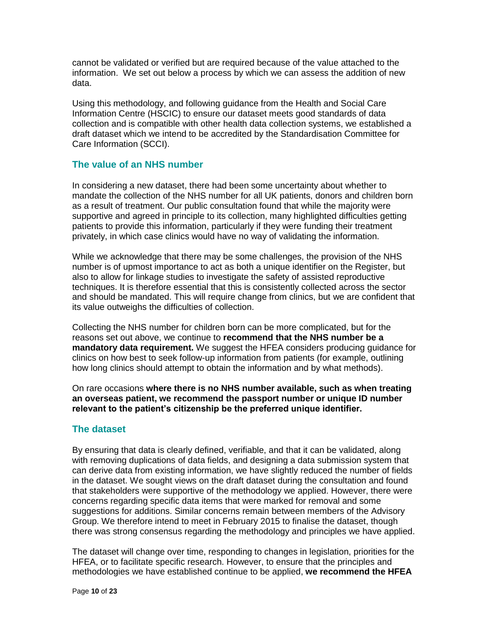cannot be validated or verified but are required because of the value attached to the information. We set out below a process by which we can assess the addition of new data.

Using this methodology, and following guidance from the Health and Social Care Information Centre (HSCIC) to ensure our dataset meets good standards of data collection and is compatible with other health data collection systems, we established a draft dataset which we intend to be accredited by the Standardisation Committee for Care Information (SCCI).

# **The value of an NHS number**

In considering a new dataset, there had been some uncertainty about whether to mandate the collection of the NHS number for all UK patients, donors and children born as a result of treatment. Our public consultation found that while the majority were supportive and agreed in principle to its collection, many highlighted difficulties getting patients to provide this information, particularly if they were funding their treatment privately, in which case clinics would have no way of validating the information.

While we acknowledge that there may be some challenges, the provision of the NHS number is of upmost importance to act as both a unique identifier on the Register, but also to allow for linkage studies to investigate the safety of assisted reproductive techniques. It is therefore essential that this is consistently collected across the sector and should be mandated. This will require change from clinics, but we are confident that its value outweighs the difficulties of collection.

Collecting the NHS number for children born can be more complicated, but for the reasons set out above, we continue to **recommend that the NHS number be a mandatory data requirement.** We suggest the HFEA considers producing guidance for clinics on how best to seek follow-up information from patients (for example, outlining how long clinics should attempt to obtain the information and by what methods).

On rare occasions **where there is no NHS number available, such as when treating an overseas patient, we recommend the passport number or unique ID number relevant to the patient's citizenship be the preferred unique identifier.**

# **The dataset**

By ensuring that data is clearly defined, verifiable, and that it can be validated, along with removing duplications of data fields, and designing a data submission system that can derive data from existing information, we have slightly reduced the number of fields in the dataset. We sought views on the draft dataset during the consultation and found that stakeholders were supportive of the methodology we applied. However, there were concerns regarding specific data items that were marked for removal and some suggestions for additions. Similar concerns remain between members of the Advisory Group. We therefore intend to meet in February 2015 to finalise the dataset, though there was strong consensus regarding the methodology and principles we have applied.

The dataset will change over time, responding to changes in legislation, priorities for the HFEA, or to facilitate specific research. However, to ensure that the principles and methodologies we have established continue to be applied, **we recommend the HFEA**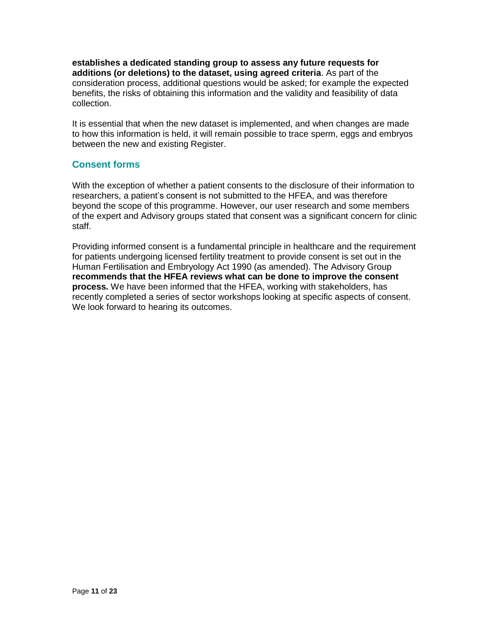**establishes a dedicated standing group to assess any future requests for additions (or deletions) to the dataset, using agreed criteria**. As part of the consideration process, additional questions would be asked; for example the expected benefits, the risks of obtaining this information and the validity and feasibility of data collection.

It is essential that when the new dataset is implemented, and when changes are made to how this information is held, it will remain possible to trace sperm, eggs and embryos between the new and existing Register.

# **Consent forms**

With the exception of whether a patient consents to the disclosure of their information to researchers, a patient's consent is not submitted to the HFEA, and was therefore beyond the scope of this programme. However, our user research and some members of the expert and Advisory groups stated that consent was a significant concern for clinic staff.

Providing informed consent is a fundamental principle in healthcare and the requirement for patients undergoing licensed fertility treatment to provide consent is set out in the Human Fertilisation and Embryology Act 1990 (as amended). The Advisory Group **recommends that the HFEA reviews what can be done to improve the consent process.** We have been informed that the HFEA, working with stakeholders, has recently completed a series of sector workshops looking at specific aspects of consent. We look forward to hearing its outcomes.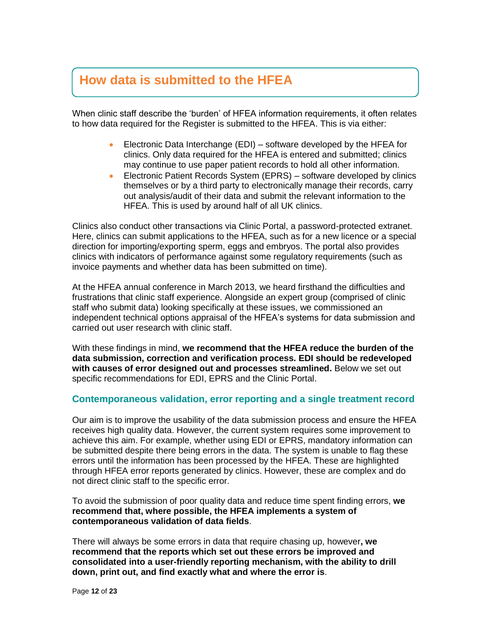# **How data is submitted to the HFEA**

When clinic staff describe the 'burden' of HFEA information requirements, it often relates to how data required for the Register is submitted to the HFEA. This is via either:

- Electronic Data Interchange (EDI) software developed by the HFEA for clinics. Only data required for the HFEA is entered and submitted; clinics may continue to use paper patient records to hold all other information.
- Electronic Patient Records System (EPRS) software developed by clinics themselves or by a third party to electronically manage their records, carry out analysis/audit of their data and submit the relevant information to the HFEA. This is used by around half of all UK clinics.

Clinics also conduct other transactions via Clinic Portal, a password-protected extranet. Here, clinics can submit applications to the HFEA, such as for a new licence or a special direction for importing/exporting sperm, eggs and embryos. The portal also provides clinics with indicators of performance against some regulatory requirements (such as invoice payments and whether data has been submitted on time).

At the HFEA annual conference in March 2013, we heard firsthand the difficulties and frustrations that clinic staff experience. Alongside an expert group (comprised of clinic staff who submit data) looking specifically at these issues, we commissioned an independent technical options appraisal of the HFEA's systems for data submission and carried out user research with clinic staff.

With these findings in mind, **we recommend that the HFEA reduce the burden of the data submission, correction and verification process. EDI should be redeveloped with causes of error designed out and processes streamlined.** Below we set out specific recommendations for EDI, EPRS and the Clinic Portal.

# **Contemporaneous validation, error reporting and a single treatment record**

Our aim is to improve the usability of the data submission process and ensure the HFEA receives high quality data. However, the current system requires some improvement to achieve this aim. For example, whether using EDI or EPRS, mandatory information can be submitted despite there being errors in the data. The system is unable to flag these errors until the information has been processed by the HFEA. These are highlighted through HFEA error reports generated by clinics. However, these are complex and do not direct clinic staff to the specific error.

To avoid the submission of poor quality data and reduce time spent finding errors, **we recommend that, where possible, the HFEA implements a system of contemporaneous validation of data fields**.

There will always be some errors in data that require chasing up, however**, we recommend that the reports which set out these errors be improved and consolidated into a user-friendly reporting mechanism, with the ability to drill down, print out, and find exactly what and where the error is**.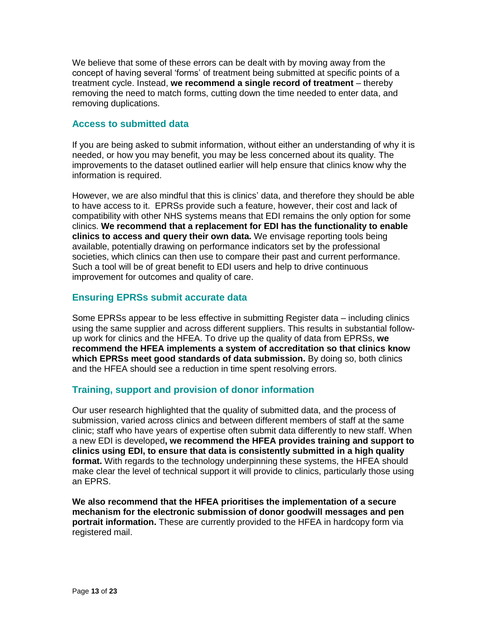We believe that some of these errors can be dealt with by moving away from the concept of having several 'forms' of treatment being submitted at specific points of a treatment cycle. Instead, **we recommend a single record of treatment** – thereby removing the need to match forms, cutting down the time needed to enter data, and removing duplications.

# **Access to submitted data**

If you are being asked to submit information, without either an understanding of why it is needed, or how you may benefit, you may be less concerned about its quality. The improvements to the dataset outlined earlier will help ensure that clinics know why the information is required.

However, we are also mindful that this is clinics' data, and therefore they should be able to have access to it. EPRSs provide such a feature, however, their cost and lack of compatibility with other NHS systems means that EDI remains the only option for some clinics. **We recommend that a replacement for EDI has the functionality to enable clinics to access and query their own data.** We envisage reporting tools being available, potentially drawing on performance indicators set by the professional societies, which clinics can then use to compare their past and current performance. Such a tool will be of great benefit to EDI users and help to drive continuous improvement for outcomes and quality of care.

# **Ensuring EPRSs submit accurate data**

Some EPRSs appear to be less effective in submitting Register data – including clinics using the same supplier and across different suppliers. This results in substantial followup work for clinics and the HFEA. To drive up the quality of data from EPRSs, **we recommend the HFEA implements a system of accreditation so that clinics know which EPRSs meet good standards of data submission.** By doing so, both clinics and the HFEA should see a reduction in time spent resolving errors.

# **Training, support and provision of donor information**

Our user research highlighted that the quality of submitted data, and the process of submission, varied across clinics and between different members of staff at the same clinic; staff who have years of expertise often submit data differently to new staff. When a new EDI is developed**, we recommend the HFEA provides training and support to clinics using EDI, to ensure that data is consistently submitted in a high quality format.** With regards to the technology underpinning these systems, the HFEA should make clear the level of technical support it will provide to clinics, particularly those using an EPRS.

**We also recommend that the HFEA prioritises the implementation of a secure mechanism for the electronic submission of donor goodwill messages and pen portrait information.** These are currently provided to the HFEA in hardcopy form via registered mail.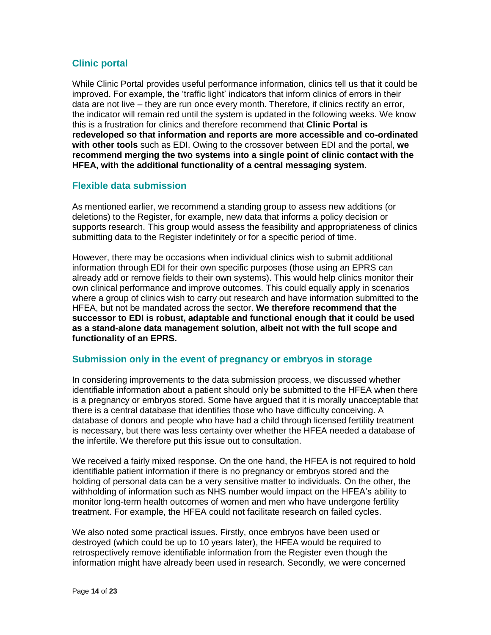# **Clinic portal**

While Clinic Portal provides useful performance information, clinics tell us that it could be improved. For example, the 'traffic light' indicators that inform clinics of errors in their data are not live – they are run once every month. Therefore, if clinics rectify an error, the indicator will remain red until the system is updated in the following weeks. We know this is a frustration for clinics and therefore recommend that **Clinic Portal is redeveloped so that information and reports are more accessible and co-ordinated with other tools** such as EDI. Owing to the crossover between EDI and the portal, **we recommend merging the two systems into a single point of clinic contact with the HFEA, with the additional functionality of a central messaging system.**

# **Flexible data submission**

As mentioned earlier, we recommend a standing group to assess new additions (or deletions) to the Register, for example, new data that informs a policy decision or supports research. This group would assess the feasibility and appropriateness of clinics submitting data to the Register indefinitely or for a specific period of time.

However, there may be occasions when individual clinics wish to submit additional information through EDI for their own specific purposes (those using an EPRS can already add or remove fields to their own systems). This would help clinics monitor their own clinical performance and improve outcomes. This could equally apply in scenarios where a group of clinics wish to carry out research and have information submitted to the HFEA, but not be mandated across the sector. **We therefore recommend that the successor to EDI is robust, adaptable and functional enough that it could be used as a stand-alone data management solution, albeit not with the full scope and functionality of an EPRS.**

# **Submission only in the event of pregnancy or embryos in storage**

In considering improvements to the data submission process, we discussed whether identifiable information about a patient should only be submitted to the HFEA when there is a pregnancy or embryos stored. Some have argued that it is morally unacceptable that there is a central database that identifies those who have difficulty conceiving. A database of donors and people who have had a child through licensed fertility treatment is necessary, but there was less certainty over whether the HFEA needed a database of the infertile. We therefore put this issue out to consultation.

We received a fairly mixed response. On the one hand, the HFEA is not required to hold identifiable patient information if there is no pregnancy or embryos stored and the holding of personal data can be a very sensitive matter to individuals. On the other, the withholding of information such as NHS number would impact on the HFEA's ability to monitor long-term health outcomes of women and men who have undergone fertility treatment. For example, the HFEA could not facilitate research on failed cycles.

We also noted some practical issues. Firstly, once embryos have been used or destroyed (which could be up to 10 years later), the HFEA would be required to retrospectively remove identifiable information from the Register even though the information might have already been used in research. Secondly, we were concerned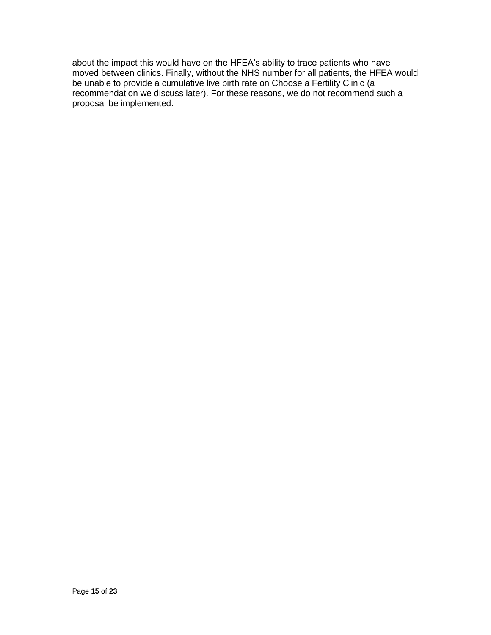about the impact this would have on the HFEA's ability to trace patients who have moved between clinics. Finally, without the NHS number for all patients, the HFEA would be unable to provide a cumulative live birth rate on Choose a Fertility Clinic (a recommendation we discuss later). For these reasons, we do not recommend such a proposal be implemented.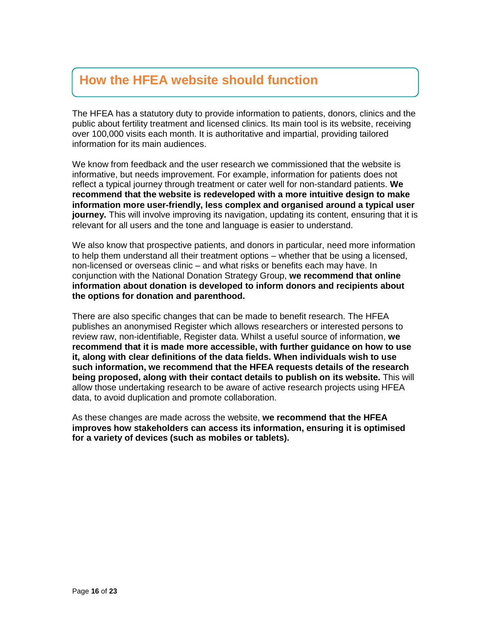# **How the HFEA website should function**

The HFEA has a statutory duty to provide information to patients, donors, clinics and the public about fertility treatment and licensed clinics. Its main tool is its website, receiving over 100,000 visits each month. It is authoritative and impartial, providing tailored information for its main audiences.

We know from feedback and the user research we commissioned that the website is informative, but needs improvement. For example, information for patients does not reflect a typical journey through treatment or cater well for non-standard patients. **We recommend that the website is redeveloped with a more intuitive design to make information more user-friendly, less complex and organised around a typical user journey.** This will involve improving its navigation, updating its content, ensuring that it is relevant for all users and the tone and language is easier to understand.

We also know that prospective patients, and donors in particular, need more information to help them understand all their treatment options – whether that be using a licensed, non-licensed or overseas clinic – and what risks or benefits each may have. In conjunction with the National Donation Strategy Group, **we recommend that online information about donation is developed to inform donors and recipients about the options for donation and parenthood.**

There are also specific changes that can be made to benefit research. The HFEA publishes an anonymised Register which allows researchers or interested persons to review raw, non-identifiable, Register data. Whilst a useful source of information, **we recommend that it is made more accessible, with further guidance on how to use it, along with clear definitions of the data fields. When individuals wish to use such information, we recommend that the HFEA requests details of the research being proposed, along with their contact details to publish on its website.** This will allow those undertaking research to be aware of active research projects using HFEA data, to avoid duplication and promote collaboration.

As these changes are made across the website, **we recommend that the HFEA improves how stakeholders can access its information, ensuring it is optimised for a variety of devices (such as mobiles or tablets).**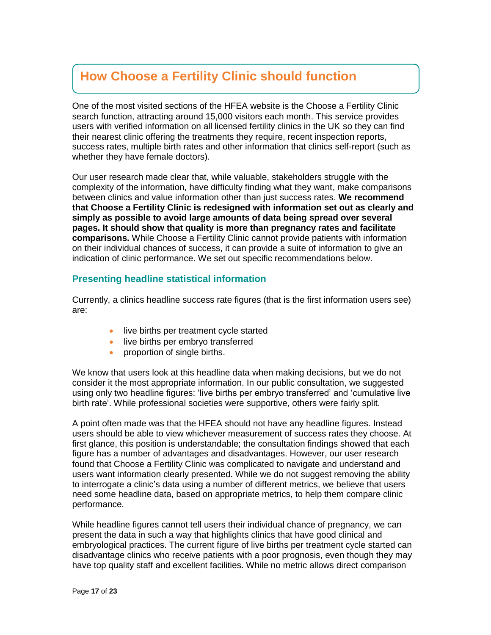# **How Choose a Fertility Clinic should function**

One of the most visited sections of the HFEA website is the Choose a Fertility Clinic search function, attracting around 15,000 visitors each month. This service provides users with verified information on all licensed fertility clinics in the UK so they can find their nearest clinic offering the treatments they require, recent inspection reports, success rates, multiple birth rates and other information that clinics self-report (such as whether they have female doctors).

Our user research made clear that, while valuable, stakeholders struggle with the complexity of the information, have difficulty finding what they want, make comparisons between clinics and value information other than just success rates. **We recommend that Choose a Fertility Clinic is redesigned with information set out as clearly and simply as possible to avoid large amounts of data being spread over several pages. It should show that quality is more than pregnancy rates and facilitate comparisons.** While Choose a Fertility Clinic cannot provide patients with information on their individual chances of success, it can provide a suite of information to give an indication of clinic performance. We set out specific recommendations below.

# **Presenting headline statistical information**

Currently, a clinics headline success rate figures (that is the first information users see) are:

- live births per treatment cycle started
- live births per embryo transferred
- proportion of single births.

We know that users look at this headline data when making decisions, but we do not consider it the most appropriate information. In our public consultation, we suggested using only two headline figures: 'live births per embryo transferred' and 'cumulative live birth rate'. While professional societies were supportive, others were fairly split.

A point often made was that the HFEA should not have any headline figures. Instead users should be able to view whichever measurement of success rates they choose. At first glance, this position is understandable; the consultation findings showed that each figure has a number of advantages and disadvantages. However, our user research found that Choose a Fertility Clinic was complicated to navigate and understand and users want information clearly presented. While we do not suggest removing the ability to interrogate a clinic's data using a number of different metrics, we believe that users need some headline data, based on appropriate metrics, to help them compare clinic performance.

While headline figures cannot tell users their individual chance of pregnancy, we can present the data in such a way that highlights clinics that have good clinical and embryological practices. The current figure of live births per treatment cycle started can disadvantage clinics who receive patients with a poor prognosis, even though they may have top quality staff and excellent facilities. While no metric allows direct comparison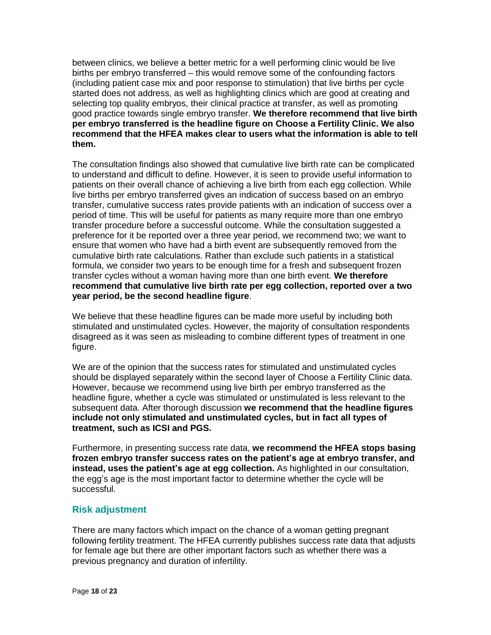between clinics, we believe a better metric for a well performing clinic would be live births per embryo transferred – this would remove some of the confounding factors (including patient case mix and poor response to stimulation) that live births per cycle started does not address, as well as highlighting clinics which are good at creating and selecting top quality embryos, their clinical practice at transfer, as well as promoting good practice towards single embryo transfer. **We therefore recommend that live birth per embryo transferred is the headline figure on Choose a Fertility Clinic. We also recommend that the HFEA makes clear to users what the information is able to tell them.**

The consultation findings also showed that cumulative live birth rate can be complicated to understand and difficult to define. However, it is seen to provide useful information to patients on their overall chance of achieving a live birth from each egg collection. While live births per embryo transferred gives an indication of success based on an embryo transfer, cumulative success rates provide patients with an indication of success over a period of time. This will be useful for patients as many require more than one embryo transfer procedure before a successful outcome. While the consultation suggested a preference for it be reported over a three year period, we recommend two; we want to ensure that women who have had a birth event are subsequently removed from the cumulative birth rate calculations. Rather than exclude such patients in a statistical formula, we consider two years to be enough time for a fresh and subsequent frozen transfer cycles without a woman having more than one birth event. **We therefore recommend that cumulative live birth rate per egg collection, reported over a two year period, be the second headline figure**.

We believe that these headline figures can be made more useful by including both stimulated and unstimulated cycles. However, the majority of consultation respondents disagreed as it was seen as misleading to combine different types of treatment in one figure.

We are of the opinion that the success rates for stimulated and unstimulated cycles should be displayed separately within the second layer of Choose a Fertility Clinic data. However, because we recommend using live birth per embryo transferred as the headline figure, whether a cycle was stimulated or unstimulated is less relevant to the subsequent data. After thorough discussion **we recommend that the headline figures include not only stimulated and unstimulated cycles, but in fact all types of treatment, such as ICSI and PGS.**

Furthermore, in presenting success rate data, **we recommend the HFEA stops basing frozen embryo transfer success rates on the patient's age at embryo transfer, and instead, uses the patient's age at egg collection.** As highlighted in our consultation, the egg's age is the most important factor to determine whether the cycle will be successful.

# **Risk adjustment**

There are many factors which impact on the chance of a woman getting pregnant following fertility treatment. The HFEA currently publishes success rate data that adjusts for female age but there are other important factors such as whether there was a previous pregnancy and duration of infertility.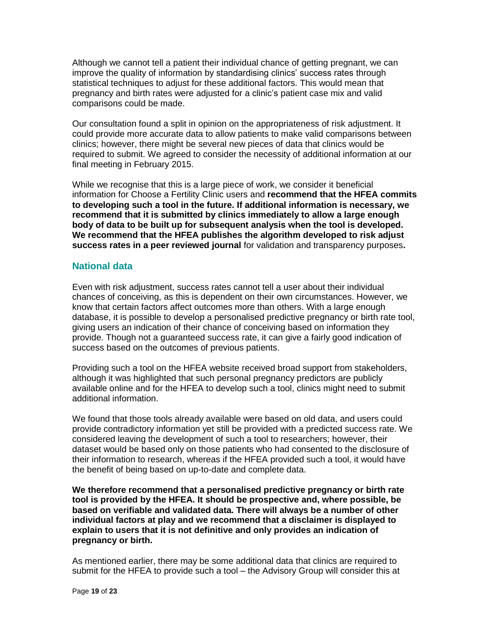Although we cannot tell a patient their individual chance of getting pregnant, we can improve the quality of information by standardising clinics' success rates through statistical techniques to adjust for these additional factors. This would mean that pregnancy and birth rates were adjusted for a clinic's patient case mix and valid comparisons could be made.

Our consultation found a split in opinion on the appropriateness of risk adjustment. It could provide more accurate data to allow patients to make valid comparisons between clinics; however, there might be several new pieces of data that clinics would be required to submit. We agreed to consider the necessity of additional information at our final meeting in February 2015.

While we recognise that this is a large piece of work, we consider it beneficial information for Choose a Fertility Clinic users and **recommend that the HFEA commits to developing such a tool in the future. If additional information is necessary, we recommend that it is submitted by clinics immediately to allow a large enough body of data to be built up for subsequent analysis when the tool is developed. We recommend that the HFEA publishes the algorithm developed to risk adjust success rates in a peer reviewed journal** for validation and transparency purposes**.**

## **National data**

Even with risk adjustment, success rates cannot tell a user about their individual chances of conceiving, as this is dependent on their own circumstances. However, we know that certain factors affect outcomes more than others. With a large enough database, it is possible to develop a personalised predictive pregnancy or birth rate tool, giving users an indication of their chance of conceiving based on information they provide. Though not a guaranteed success rate, it can give a fairly good indication of success based on the outcomes of previous patients.

Providing such a tool on the HFEA website received broad support from stakeholders, although it was highlighted that such personal pregnancy predictors are publicly available online and for the HFEA to develop such a tool, clinics might need to submit additional information.

We found that those tools already available were based on old data, and users could provide contradictory information yet still be provided with a predicted success rate. We considered leaving the development of such a tool to researchers; however, their dataset would be based only on those patients who had consented to the disclosure of their information to research, whereas if the HFEA provided such a tool, it would have the benefit of being based on up-to-date and complete data.

**We therefore recommend that a personalised predictive pregnancy or birth rate tool is provided by the HFEA. It should be prospective and, where possible, be based on verifiable and validated data. There will always be a number of other individual factors at play and we recommend that a disclaimer is displayed to explain to users that it is not definitive and only provides an indication of pregnancy or birth.**

As mentioned earlier, there may be some additional data that clinics are required to submit for the HFEA to provide such a tool – the Advisory Group will consider this at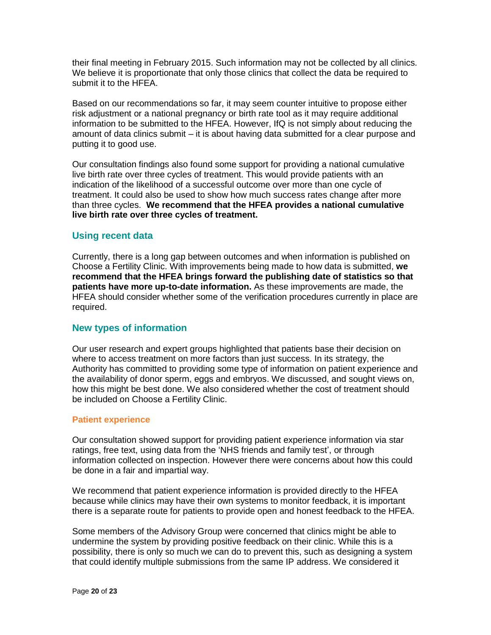their final meeting in February 2015. Such information may not be collected by all clinics. We believe it is proportionate that only those clinics that collect the data be required to submit it to the HFEA.

Based on our recommendations so far, it may seem counter intuitive to propose either risk adjustment or a national pregnancy or birth rate tool as it may require additional information to be submitted to the HFEA. However, IfQ is not simply about reducing the amount of data clinics submit – it is about having data submitted for a clear purpose and putting it to good use.

Our consultation findings also found some support for providing a national cumulative live birth rate over three cycles of treatment. This would provide patients with an indication of the likelihood of a successful outcome over more than one cycle of treatment. It could also be used to show how much success rates change after more than three cycles. **We recommend that the HFEA provides a national cumulative live birth rate over three cycles of treatment.**

# **Using recent data**

Currently, there is a long gap between outcomes and when information is published on Choose a Fertility Clinic. With improvements being made to how data is submitted, **we recommend that the HFEA brings forward the publishing date of statistics so that patients have more up-to-date information.** As these improvements are made, the HFEA should consider whether some of the verification procedures currently in place are required.

# **New types of information**

Our user research and expert groups highlighted that patients base their decision on where to access treatment on more factors than just success. In its strategy, the Authority has committed to providing some type of information on patient experience and the availability of donor sperm, eggs and embryos. We discussed, and sought views on, how this might be best done. We also considered whether the cost of treatment should be included on Choose a Fertility Clinic.

# **Patient experience**

Our consultation showed support for providing patient experience information via star ratings, free text, using data from the 'NHS friends and family test', or through information collected on inspection. However there were concerns about how this could be done in a fair and impartial way.

We recommend that patient experience information is provided directly to the HFEA because while clinics may have their own systems to monitor feedback, it is important there is a separate route for patients to provide open and honest feedback to the HFEA.

Some members of the Advisory Group were concerned that clinics might be able to undermine the system by providing positive feedback on their clinic. While this is a possibility, there is only so much we can do to prevent this, such as designing a system that could identify multiple submissions from the same IP address. We considered it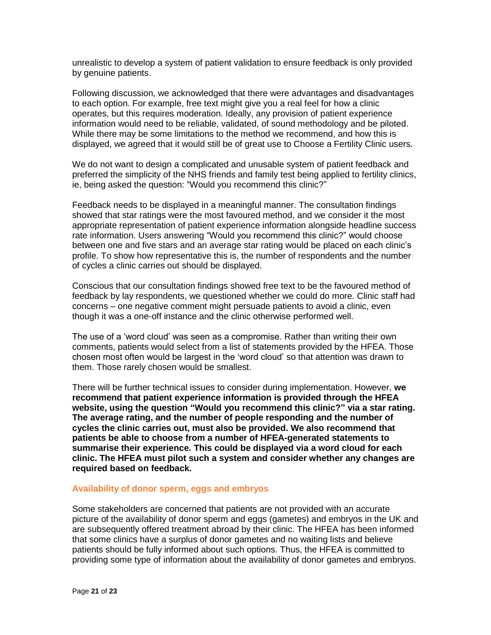unrealistic to develop a system of patient validation to ensure feedback is only provided by genuine patients.

Following discussion, we acknowledged that there were advantages and disadvantages to each option. For example, free text might give you a real feel for how a clinic operates, but this requires moderation. Ideally, any provision of patient experience information would need to be reliable, validated, of sound methodology and be piloted. While there may be some limitations to the method we recommend, and how this is displayed, we agreed that it would still be of great use to Choose a Fertility Clinic users.

We do not want to design a complicated and unusable system of patient feedback and preferred the simplicity of the NHS friends and family test being applied to fertility clinics, ie, being asked the question: "Would you recommend this clinic?"

Feedback needs to be displayed in a meaningful manner. The consultation findings showed that star ratings were the most favoured method, and we consider it the most appropriate representation of patient experience information alongside headline success rate information. Users answering "Would you recommend this clinic?" would choose between one and five stars and an average star rating would be placed on each clinic's profile. To show how representative this is, the number of respondents and the number of cycles a clinic carries out should be displayed.

Conscious that our consultation findings showed free text to be the favoured method of feedback by lay respondents, we questioned whether we could do more. Clinic staff had concerns – one negative comment might persuade patients to avoid a clinic, even though it was a one-off instance and the clinic otherwise performed well.

The use of a 'word cloud' was seen as a compromise. Rather than writing their own comments, patients would select from a list of statements provided by the HFEA. Those chosen most often would be largest in the 'word cloud' so that attention was drawn to them. Those rarely chosen would be smallest.

There will be further technical issues to consider during implementation. However, **we recommend that patient experience information is provided through the HFEA website, using the question "Would you recommend this clinic?" via a star rating. The average rating, and the number of people responding and the number of cycles the clinic carries out, must also be provided. We also recommend that patients be able to choose from a number of HFEA-generated statements to summarise their experience. This could be displayed via a word cloud for each clinic. The HFEA must pilot such a system and consider whether any changes are required based on feedback.**

#### **Availability of donor sperm, eggs and embryos**

Some stakeholders are concerned that patients are not provided with an accurate picture of the availability of donor sperm and eggs (gametes) and embryos in the UK and are subsequently offered treatment abroad by their clinic. The HFEA has been informed that some clinics have a surplus of donor gametes and no waiting lists and believe patients should be fully informed about such options. Thus, the HFEA is committed to providing some type of information about the availability of donor gametes and embryos.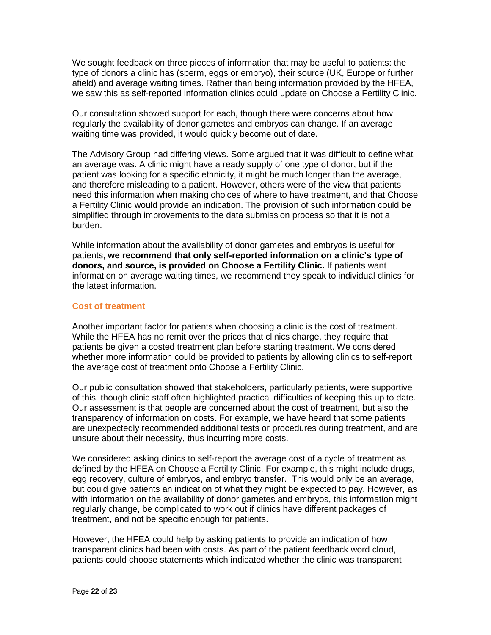We sought feedback on three pieces of information that may be useful to patients: the type of donors a clinic has (sperm, eggs or embryo), their source (UK, Europe or further afield) and average waiting times. Rather than being information provided by the HFEA, we saw this as self-reported information clinics could update on Choose a Fertility Clinic.

Our consultation showed support for each, though there were concerns about how regularly the availability of donor gametes and embryos can change. If an average waiting time was provided, it would quickly become out of date.

The Advisory Group had differing views. Some argued that it was difficult to define what an average was. A clinic might have a ready supply of one type of donor, but if the patient was looking for a specific ethnicity, it might be much longer than the average, and therefore misleading to a patient. However, others were of the view that patients need this information when making choices of where to have treatment, and that Choose a Fertility Clinic would provide an indication. The provision of such information could be simplified through improvements to the data submission process so that it is not a burden.

While information about the availability of donor gametes and embryos is useful for patients, **we recommend that only self-reported information on a clinic's type of donors, and source, is provided on Choose a Fertility Clinic.** If patients want information on average waiting times, we recommend they speak to individual clinics for the latest information.

### **Cost of treatment**

Another important factor for patients when choosing a clinic is the cost of treatment. While the HFEA has no remit over the prices that clinics charge, they require that patients be given a costed treatment plan before starting treatment. We considered whether more information could be provided to patients by allowing clinics to self-report the average cost of treatment onto Choose a Fertility Clinic.

Our public consultation showed that stakeholders, particularly patients, were supportive of this, though clinic staff often highlighted practical difficulties of keeping this up to date. Our assessment is that people are concerned about the cost of treatment, but also the transparency of information on costs. For example, we have heard that some patients are unexpectedly recommended additional tests or procedures during treatment, and are unsure about their necessity, thus incurring more costs.

We considered asking clinics to self-report the average cost of a cycle of treatment as defined by the HFEA on Choose a Fertility Clinic. For example, this might include drugs, egg recovery, culture of embryos, and embryo transfer. This would only be an average, but could give patients an indication of what they might be expected to pay. However, as with information on the availability of donor gametes and embryos, this information might regularly change, be complicated to work out if clinics have different packages of treatment, and not be specific enough for patients.

However, the HFEA could help by asking patients to provide an indication of how transparent clinics had been with costs. As part of the patient feedback word cloud, patients could choose statements which indicated whether the clinic was transparent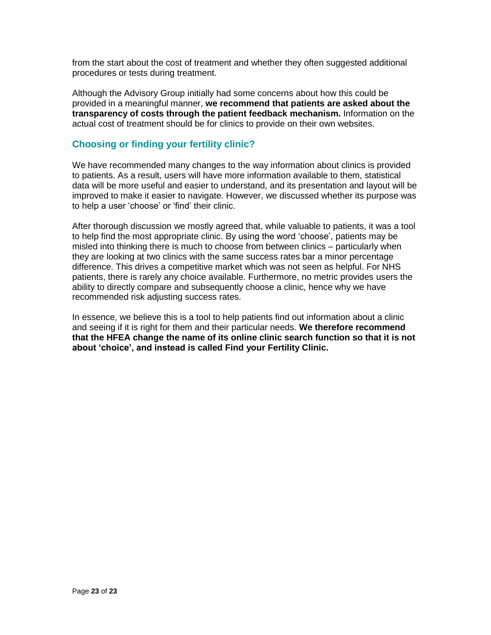from the start about the cost of treatment and whether they often suggested additional procedures or tests during treatment.

Although the Advisory Group initially had some concerns about how this could be provided in a meaningful manner, **we recommend that patients are asked about the transparency of costs through the patient feedback mechanism.** Information on the actual cost of treatment should be for clinics to provide on their own websites.

# **Choosing or finding your fertility clinic?**

We have recommended many changes to the way information about clinics is provided to patients. As a result, users will have more information available to them, statistical data will be more useful and easier to understand, and its presentation and layout will be improved to make it easier to navigate. However, we discussed whether its purpose was to help a user 'choose' or 'find' their clinic.

After thorough discussion we mostly agreed that, while valuable to patients, it was a tool to help find the most appropriate clinic. By using the word 'choose', patients may be misled into thinking there is much to choose from between clinics – particularly when they are looking at two clinics with the same success rates bar a minor percentage difference. This drives a competitive market which was not seen as helpful. For NHS patients, there is rarely any choice available. Furthermore, no metric provides users the ability to directly compare and subsequently choose a clinic, hence why we have recommended risk adjusting success rates.

In essence, we believe this is a tool to help patients find out information about a clinic and seeing if it is right for them and their particular needs. **We therefore recommend that the HFEA change the name of its online clinic search function so that it is not about 'choice', and instead is called Find your Fertility Clinic.**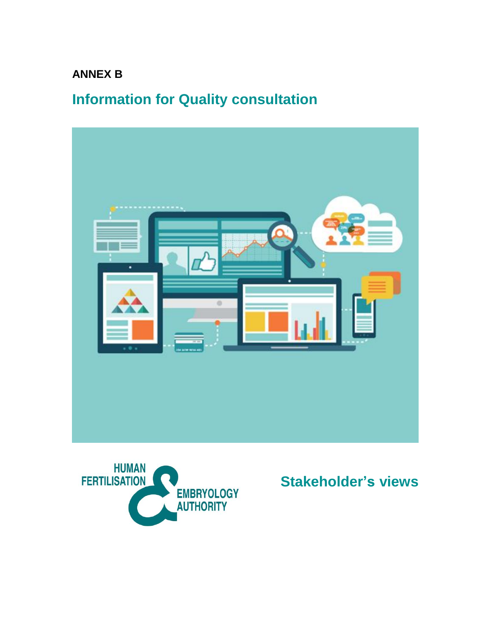# **ANNEX B**

# **Information for Quality consultation**





**Stakeholder's views**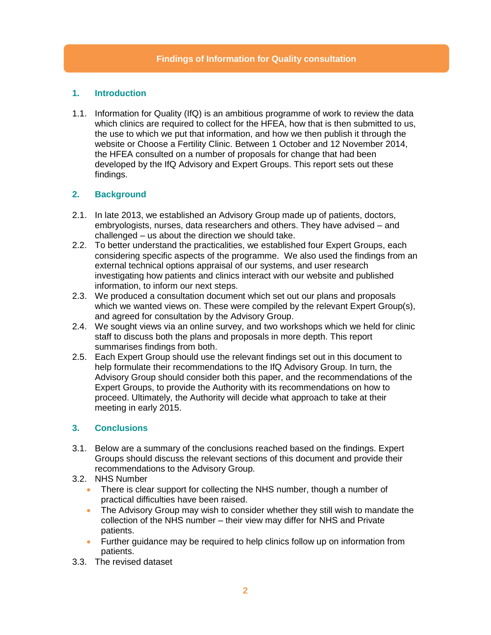# **1. Introduction**

1.1. Information for Quality (IfQ) is an ambitious programme of work to review the data which clinics are required to collect for the HFEA, how that is then submitted to us, the use to which we put that information, and how we then publish it through the website or Choose a Fertility Clinic. Between 1 October and 12 November 2014, the HFEA consulted on a number of proposals for change that had been developed by the IfQ Advisory and Expert Groups. This report sets out these findings.

# **2. Background**

- 2.1. In late 2013, we established an Advisory Group made up of patients, doctors, embryologists, nurses, data researchers and others. They have advised – and challenged – us about the direction we should take.
- 2.2. To better understand the practicalities, we established four Expert Groups, each considering specific aspects of the programme. We also used the findings from an external technical options appraisal of our systems, and user research investigating how patients and clinics interact with our website and published information, to inform our next steps.
- 2.3. We produced a consultation document which set out our plans and proposals which we wanted views on. These were compiled by the relevant Expert Group(s), and agreed for consultation by the Advisory Group.
- 2.4. We sought views via an online survey, and two workshops which we held for clinic staff to discuss both the plans and proposals in more depth. This report summarises findings from both.
- 2.5. Each Expert Group should use the relevant findings set out in this document to help formulate their recommendations to the IfQ Advisory Group. In turn, the Advisory Group should consider both this paper, and the recommendations of the Expert Groups, to provide the Authority with its recommendations on how to proceed. Ultimately, the Authority will decide what approach to take at their meeting in early 2015.

# **3. Conclusions**

- 3.1. Below are a summary of the conclusions reached based on the findings. Expert Groups should discuss the relevant sections of this document and provide their recommendations to the Advisory Group.
- 3.2. NHS Number
	- There is clear support for collecting the NHS number, though a number of practical difficulties have been raised.
	- The Advisory Group may wish to consider whether they still wish to mandate the collection of the NHS number – their view may differ for NHS and Private patients.
	- Further quidance may be required to help clinics follow up on information from patients.
- 3.3. The revised dataset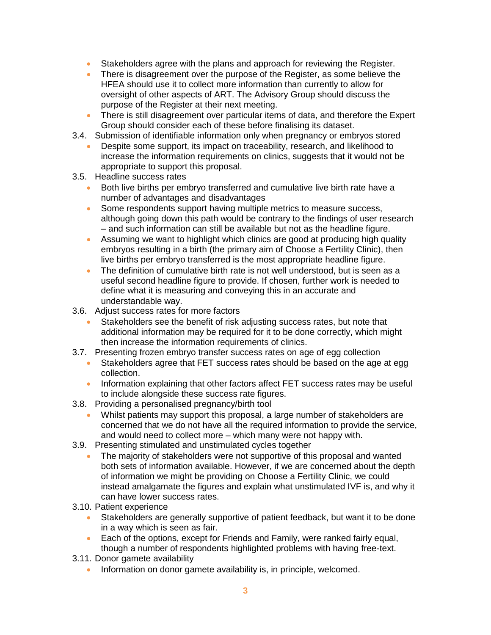- Stakeholders agree with the plans and approach for reviewing the Register.
- There is disagreement over the purpose of the Register, as some believe the HFEA should use it to collect more information than currently to allow for oversight of other aspects of ART. The Advisory Group should discuss the purpose of the Register at their next meeting.
- There is still disagreement over particular items of data, and therefore the Expert Group should consider each of these before finalising its dataset.
- 3.4. Submission of identifiable information only when pregnancy or embryos stored
	- Despite some support, its impact on traceability, research, and likelihood to increase the information requirements on clinics, suggests that it would not be appropriate to support this proposal.
- 3.5. Headline success rates
	- Both live births per embryo transferred and cumulative live birth rate have a number of advantages and disadvantages
	- Some respondents support having multiple metrics to measure success, although going down this path would be contrary to the findings of user research – and such information can still be available but not as the headline figure.
	- Assuming we want to highlight which clinics are good at producing high quality embryos resulting in a birth (the primary aim of Choose a Fertility Clinic), then live births per embryo transferred is the most appropriate headline figure.
	- The definition of cumulative birth rate is not well understood, but is seen as a useful second headline figure to provide. If chosen, further work is needed to define what it is measuring and conveying this in an accurate and understandable way.
- 3.6. Adjust success rates for more factors
	- Stakeholders see the benefit of risk adjusting success rates, but note that additional information may be required for it to be done correctly, which might then increase the information requirements of clinics.
- 3.7. Presenting frozen embryo transfer success rates on age of egg collection
	- Stakeholders agree that FET success rates should be based on the age at egg collection.
	- Information explaining that other factors affect FET success rates may be useful to include alongside these success rate figures.
- 3.8. Providing a personalised pregnancy/birth tool
	- Whilst patients may support this proposal, a large number of stakeholders are concerned that we do not have all the required information to provide the service, and would need to collect more – which many were not happy with.
- 3.9. Presenting stimulated and unstimulated cycles together
	- The majority of stakeholders were not supportive of this proposal and wanted both sets of information available. However, if we are concerned about the depth of information we might be providing on Choose a Fertility Clinic, we could instead amalgamate the figures and explain what unstimulated IVF is, and why it can have lower success rates.
- 3.10. Patient experience
	- Stakeholders are generally supportive of patient feedback, but want it to be done in a way which is seen as fair.
	- Each of the options, except for Friends and Family, were ranked fairly equal, though a number of respondents highlighted problems with having free-text.
- 3.11. Donor gamete availability
	- Information on donor gamete availability is, in principle, welcomed.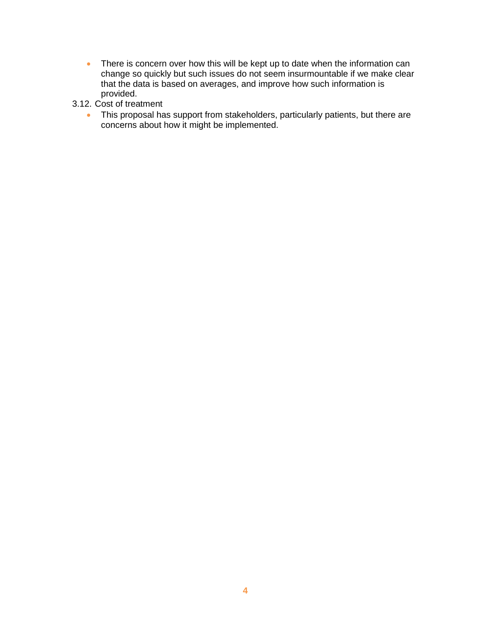- There is concern over how this will be kept up to date when the information can change so quickly but such issues do not seem insurmountable if we make clear that the data is based on averages, and improve how such information is provided.
- 3.12. Cost of treatment
	- This proposal has support from stakeholders, particularly patients, but there are concerns about how it might be implemented.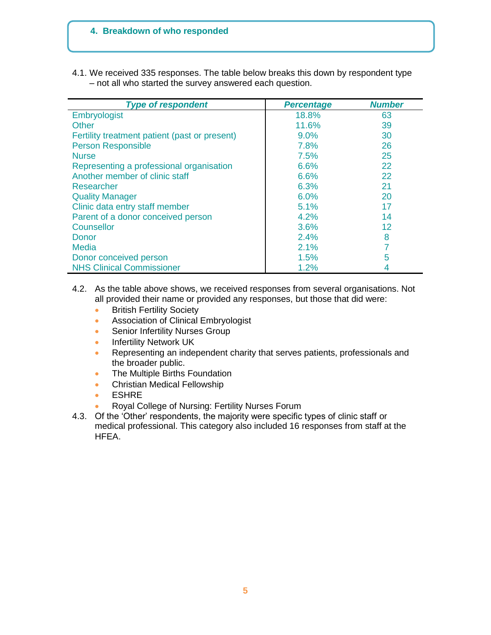# **4. Breakdown of who responded**

4.1. We received 335 responses. The table below breaks this down by respondent type – not all who started the survey answered each question.

| <b>Type of respondent</b>                     | <b>Percentage</b> | <b>Number</b> |
|-----------------------------------------------|-------------------|---------------|
| Embryologist                                  | 18.8%             | 63            |
| Other                                         | 11.6%             | 39            |
| Fertility treatment patient (past or present) | 9.0%              | 30            |
| <b>Person Responsible</b>                     | 7.8%              | 26            |
| <b>Nurse</b>                                  | 7.5%              | 25            |
| Representing a professional organisation      | 6.6%              | 22            |
| Another member of clinic staff                | 6.6%              | 22            |
| Researcher                                    | 6.3%              | 21            |
| <b>Quality Manager</b>                        | 6.0%              | 20            |
| Clinic data entry staff member                | 5.1%              | 17            |
| Parent of a donor conceived person            | 4.2%              | 14            |
| Counsellor                                    | 3.6%              | 12            |
| Donor                                         | 2.4%              | 8             |
| Media                                         | 2.1%              |               |
| Donor conceived person                        | 1.5%              | 5             |
| <b>NHS Clinical Commissioner</b>              | 1.2%              |               |

### 4.2. As the table above shows, we received responses from several organisations. Not all provided their name or provided any responses, but those that did were:

- **•** British Fertility Society
- **Association of Clinical Embryologist**
- **Senior Infertility Nurses Group**
- **Infertility Network UK**
- **Representing an independent charity that serves patients, professionals and** the broader public.
- The Multiple Births Foundation
- **•** Christian Medical Fellowship
- ESHRE
- Royal College of Nursing: Fertility Nurses Forum
- 4.3. Of the 'Other' respondents, the majority were specific types of clinic staff or medical professional. This category also included 16 responses from staff at the HFEA.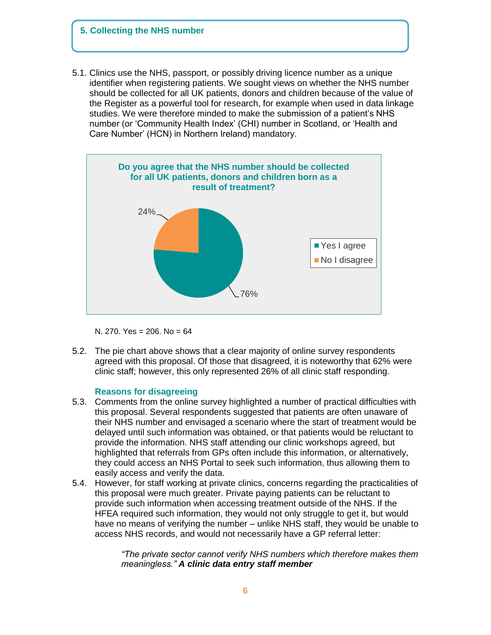## **5. Collecting the NHS number**

5.1. Clinics use the NHS, passport, or possibly driving licence number as a unique identifier when registering patients. We sought views on whether the NHS number should be collected for all UK patients, donors and children because of the value of the Register as a powerful tool for research, for example when used in data linkage studies. We were therefore minded to make the submission of a patient's NHS number (or 'Community Health Index' (CHI) number in Scotland, or 'Health and Care Number' (HCN) in Northern Ireland) mandatory.



N. 270. Yes = 206. No = 64

5.2. The pie chart above shows that a clear majority of online survey respondents agreed with this proposal. Of those that disagreed, it is noteworthy that 62% were clinic staff; however, this only represented 26% of all clinic staff responding.

### **Reasons for disagreeing**

- 5.3. Comments from the online survey highlighted a number of practical difficulties with this proposal. Several respondents suggested that patients are often unaware of their NHS number and envisaged a scenario where the start of treatment would be delayed until such information was obtained, or that patients would be reluctant to provide the information. NHS staff attending our clinic workshops agreed, but highlighted that referrals from GPs often include this information, or alternatively, they could access an NHS Portal to seek such information, thus allowing them to easily access and verify the data.
- 5.4. However, for staff working at private clinics, concerns regarding the practicalities of this proposal were much greater. Private paying patients can be reluctant to provide such information when accessing treatment outside of the NHS. If the HFEA required such information, they would not only struggle to get it, but would have no means of verifying the number – unlike NHS staff, they would be unable to access NHS records, and would not necessarily have a GP referral letter:

*"The private sector cannot verify NHS numbers which therefore makes them meaningless." A clinic data entry staff member*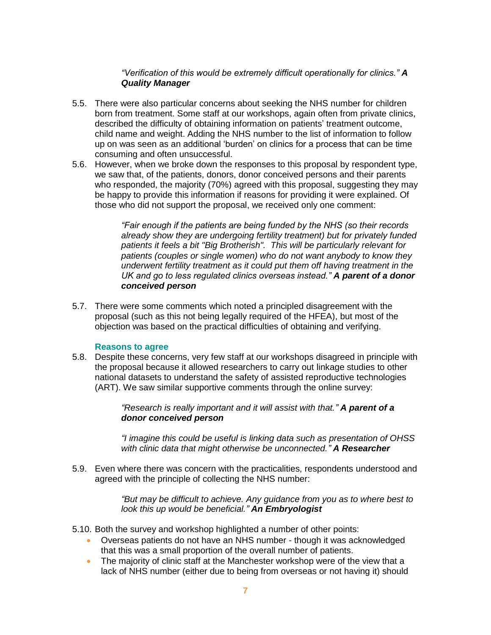# *"Verification of this would be extremely difficult operationally for clinics." A Quality Manager*

- 5.5. There were also particular concerns about seeking the NHS number for children born from treatment. Some staff at our workshops, again often from private clinics, described the difficulty of obtaining information on patients' treatment outcome, child name and weight. Adding the NHS number to the list of information to follow up on was seen as an additional 'burden' on clinics for a process that can be time consuming and often unsuccessful.
- 5.6. However, when we broke down the responses to this proposal by respondent type, we saw that, of the patients, donors, donor conceived persons and their parents who responded, the majority (70%) agreed with this proposal, suggesting they may be happy to provide this information if reasons for providing it were explained. Of those who did not support the proposal, we received only one comment:

*"Fair enough if the patients are being funded by the NHS (so their records already show they are undergoing fertility treatment) but for privately funded patients it feels a bit "Big Brotherish". This will be particularly relevant for patients (couples or single women) who do not want anybody to know they underwent fertility treatment as it could put them off having treatment in the UK and go to less regulated clinics overseas instead." A parent of a donor conceived person*

5.7. There were some comments which noted a principled disagreement with the proposal (such as this not being legally required of the HFEA), but most of the objection was based on the practical difficulties of obtaining and verifying.

# **Reasons to agree**

5.8. Despite these concerns, very few staff at our workshops disagreed in principle with the proposal because it allowed researchers to carry out linkage studies to other national datasets to understand the safety of assisted reproductive technologies (ART). We saw similar supportive comments through the online survey:

> *"Research is really important and it will assist with that." A parent of a donor conceived person*

*"I imagine this could be useful is linking data such as presentation of OHSS with clinic data that might otherwise be unconnected." A Researcher*

5.9. Even where there was concern with the practicalities, respondents understood and agreed with the principle of collecting the NHS number:

> *"But may be difficult to achieve. Any guidance from you as to where best to look this up would be beneficial." An Embryologist*

- 5.10. Both the survey and workshop highlighted a number of other points:
	- Overseas patients do not have an NHS number though it was acknowledged that this was a small proportion of the overall number of patients.
	- The majority of clinic staff at the Manchester workshop were of the view that a lack of NHS number (either due to being from overseas or not having it) should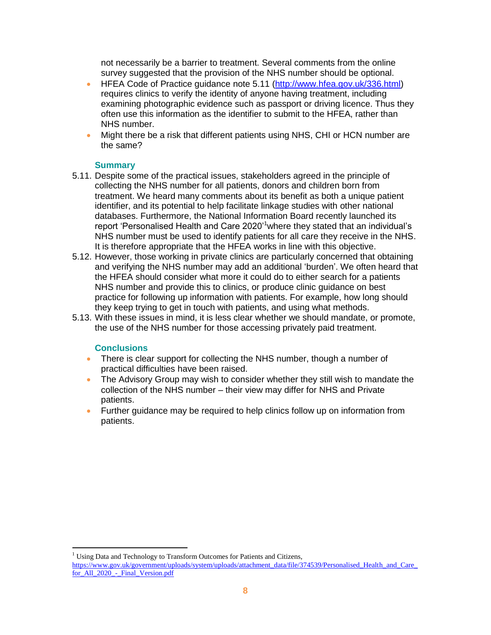not necessarily be a barrier to treatment. Several comments from the online survey suggested that the provision of the NHS number should be optional.

- HFEA Code of Practice quidance note 5.11 [\(http://www.hfea.gov.uk/336.html\)](http://www.hfea.gov.uk/336.html) requires clinics to verify the identity of anyone having treatment, including examining photographic evidence such as passport or driving licence. Thus they often use this information as the identifier to submit to the HFEA, rather than NHS number.
- Might there be a risk that different patients using NHS, CHI or HCN number are the same?

## **Summary**

- 5.11. Despite some of the practical issues, stakeholders agreed in the principle of collecting the NHS number for all patients, donors and children born from treatment. We heard many comments about its benefit as both a unique patient identifier, and its potential to help facilitate linkage studies with other national databases. Furthermore, the National Information Board recently launched its report 'Personalised Health and Care 2020'<sup>1</sup> where they stated that an individual's NHS number must be used to identify patients for all care they receive in the NHS. It is therefore appropriate that the HFEA works in line with this objective.
- 5.12. However, those working in private clinics are particularly concerned that obtaining and verifying the NHS number may add an additional 'burden'. We often heard that the HFEA should consider what more it could do to either search for a patients NHS number and provide this to clinics, or produce clinic guidance on best practice for following up information with patients. For example, how long should they keep trying to get in touch with patients, and using what methods.
- 5.13. With these issues in mind, it is less clear whether we should mandate, or promote, the use of the NHS number for those accessing privately paid treatment.

# **Conclusions**

 $\overline{a}$ 

- There is clear support for collecting the NHS number, though a number of practical difficulties have been raised.
- The Advisory Group may wish to consider whether they still wish to mandate the collection of the NHS number – their view may differ for NHS and Private patients.
- Further guidance may be required to help clinics follow up on information from patients.

<sup>1</sup> Using Data and Technology to Transform Outcomes for Patients and Citizens,

[https://www.gov.uk/government/uploads/system/uploads/attachment\\_data/file/374539/Personalised\\_Health\\_and\\_Care\\_](https://www.gov.uk/government/uploads/system/uploads/attachment_data/file/374539/Personalised_Health_and_Care_for_All_2020_-_Final_Version.pdf) for All 2020 - Final Version.pdf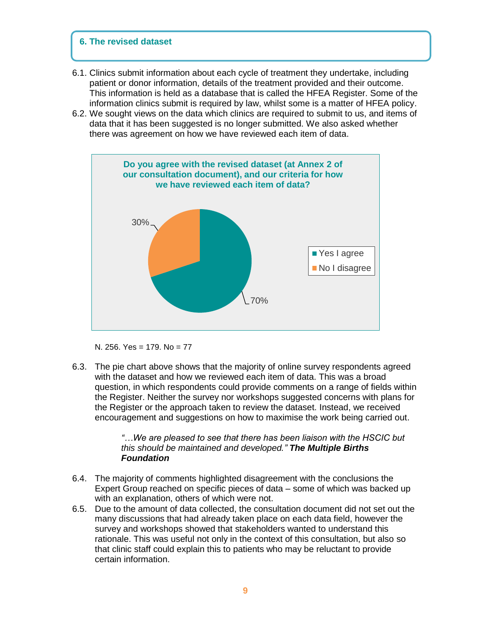## **6. The revised dataset**

- 6.1. Clinics submit information about each cycle of treatment they undertake, including patient or donor information, details of the treatment provided and their outcome. This information is held as a database that is called the HFEA Register. Some of the information clinics submit is required by law, whilst some is a matter of HFEA policy.
- 6.2. We sought views on the data which clinics are required to submit to us, and items of data that it has been suggested is no longer submitted. We also asked whether there was agreement on how we have reviewed each item of data.



N. 256. Yes = 179. No = 77

6.3. The pie chart above shows that the majority of online survey respondents agreed with the dataset and how we reviewed each item of data. This was a broad question, in which respondents could provide comments on a range of fields within the Register. Neither the survey nor workshops suggested concerns with plans for the Register or the approach taken to review the dataset. Instead, we received encouragement and suggestions on how to maximise the work being carried out.

## *"…We are pleased to see that there has been liaison with the HSCIC but this should be maintained and developed." The Multiple Births Foundation*

- 6.4. The majority of comments highlighted disagreement with the conclusions the Expert Group reached on specific pieces of data – some of which was backed up with an explanation, others of which were not.
- 6.5. Due to the amount of data collected, the consultation document did not set out the many discussions that had already taken place on each data field, however the survey and workshops showed that stakeholders wanted to understand this rationale. This was useful not only in the context of this consultation, but also so that clinic staff could explain this to patients who may be reluctant to provide certain information.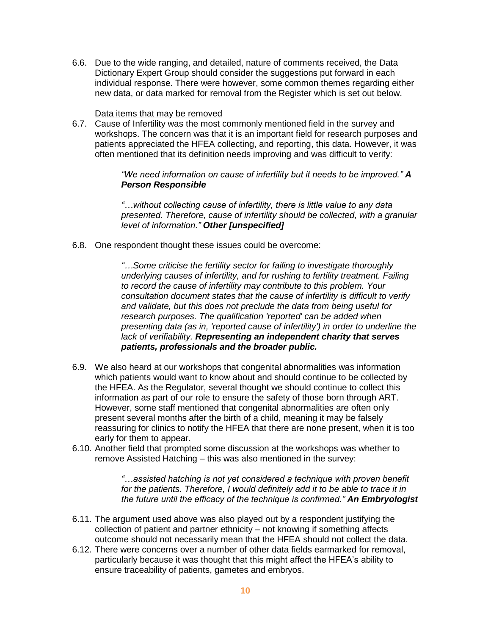6.6. Due to the wide ranging, and detailed, nature of comments received, the Data Dictionary Expert Group should consider the suggestions put forward in each individual response. There were however, some common themes regarding either new data, or data marked for removal from the Register which is set out below.

### Data items that may be removed

6.7. Cause of Infertility was the most commonly mentioned field in the survey and workshops. The concern was that it is an important field for research purposes and patients appreciated the HFEA collecting, and reporting, this data. However, it was often mentioned that its definition needs improving and was difficult to verify:

> *"We need information on cause of infertility but it needs to be improved." A Person Responsible*

*"…without collecting cause of infertility, there is little value to any data presented. Therefore, cause of infertility should be collected, with a granular level of information." Other [unspecified]*

6.8. One respondent thought these issues could be overcome:

*"…Some criticise the fertility sector for failing to investigate thoroughly underlying causes of infertility, and for rushing to fertility treatment. Failing to record the cause of infertility may contribute to this problem. Your consultation document states that the cause of infertility is difficult to verify and validate, but this does not preclude the data from being useful for research purposes. The qualification 'reported' can be added when presenting data (as in, 'reported cause of infertility') in order to underline the lack of verifiability. Representing an independent charity that serves patients, professionals and the broader public.* 

- 6.9. We also heard at our workshops that congenital abnormalities was information which patients would want to know about and should continue to be collected by the HFEA. As the Regulator, several thought we should continue to collect this information as part of our role to ensure the safety of those born through ART. However, some staff mentioned that congenital abnormalities are often only present several months after the birth of a child, meaning it may be falsely reassuring for clinics to notify the HFEA that there are none present, when it is too early for them to appear.
- 6.10. Another field that prompted some discussion at the workshops was whether to remove Assisted Hatching – this was also mentioned in the survey:

*"…assisted hatching is not yet considered a technique with proven benefit for the patients. Therefore, I would definitely add it to be able to trace it in the future until the efficacy of the technique is confirmed." An Embryologist*

- 6.11. The argument used above was also played out by a respondent justifying the collection of patient and partner ethnicity – not knowing if something affects outcome should not necessarily mean that the HFEA should not collect the data.
- 6.12. There were concerns over a number of other data fields earmarked for removal, particularly because it was thought that this might affect the HFEA's ability to ensure traceability of patients, gametes and embryos.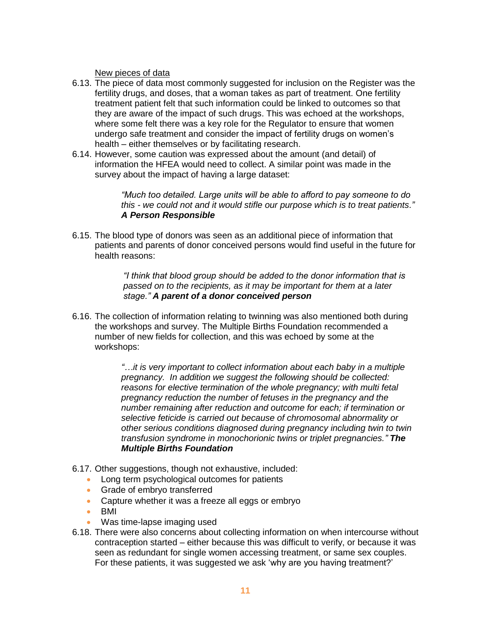New pieces of data

- 6.13. The piece of data most commonly suggested for inclusion on the Register was the fertility drugs, and doses, that a woman takes as part of treatment. One fertility treatment patient felt that such information could be linked to outcomes so that they are aware of the impact of such drugs. This was echoed at the workshops, where some felt there was a key role for the Regulator to ensure that women undergo safe treatment and consider the impact of fertility drugs on women's health – either themselves or by facilitating research.
- 6.14. However, some caution was expressed about the amount (and detail) of information the HFEA would need to collect. A similar point was made in the survey about the impact of having a large dataset:

*"Much too detailed. Large units will be able to afford to pay someone to do this - we could not and it would stifle our purpose which is to treat patients." A Person Responsible*

6.15. The blood type of donors was seen as an additional piece of information that patients and parents of donor conceived persons would find useful in the future for health reasons:

> *"I think that blood group should be added to the donor information that is passed on to the recipients, as it may be important for them at a later stage." A parent of a donor conceived person*

6.16. The collection of information relating to twinning was also mentioned both during the workshops and survey. The Multiple Births Foundation recommended a number of new fields for collection, and this was echoed by some at the workshops:

> *"…it is very important to collect information about each baby in a multiple pregnancy. In addition we suggest the following should be collected: reasons for elective termination of the whole pregnancy; with multi fetal pregnancy reduction the number of fetuses in the pregnancy and the number remaining after reduction and outcome for each; if termination or selective feticide is carried out because of chromosomal abnormality or other serious conditions diagnosed during pregnancy including twin to twin transfusion syndrome in monochorionic twins or triplet pregnancies." The Multiple Births Foundation*

- 6.17. Other suggestions, though not exhaustive, included:
	- Long term psychological outcomes for patients
	- **Grade of embryo transferred**
	- Capture whether it was a freeze all eggs or embryo
	- BMI
	- Was time-lapse imaging used
- 6.18. There were also concerns about collecting information on when intercourse without contraception started – either because this was difficult to verify, or because it was seen as redundant for single women accessing treatment, or same sex couples. For these patients, it was suggested we ask 'why are you having treatment?'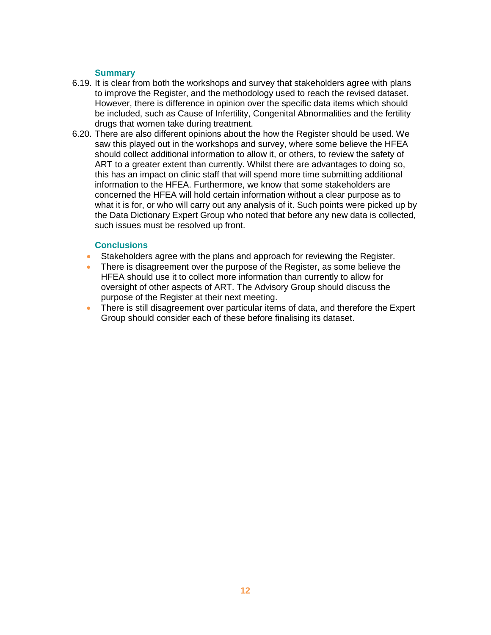## **Summary**

- 6.19. It is clear from both the workshops and survey that stakeholders agree with plans to improve the Register, and the methodology used to reach the revised dataset. However, there is difference in opinion over the specific data items which should be included, such as Cause of Infertility, Congenital Abnormalities and the fertility drugs that women take during treatment.
- 6.20. There are also different opinions about the how the Register should be used. We saw this played out in the workshops and survey, where some believe the HFEA should collect additional information to allow it, or others, to review the safety of ART to a greater extent than currently. Whilst there are advantages to doing so, this has an impact on clinic staff that will spend more time submitting additional information to the HFEA. Furthermore, we know that some stakeholders are concerned the HFEA will hold certain information without a clear purpose as to what it is for, or who will carry out any analysis of it. Such points were picked up by the Data Dictionary Expert Group who noted that before any new data is collected, such issues must be resolved up front.

## **Conclusions**

- Stakeholders agree with the plans and approach for reviewing the Register.
- There is disagreement over the purpose of the Register, as some believe the HFEA should use it to collect more information than currently to allow for oversight of other aspects of ART. The Advisory Group should discuss the purpose of the Register at their next meeting.
- There is still disagreement over particular items of data, and therefore the Expert Group should consider each of these before finalising its dataset.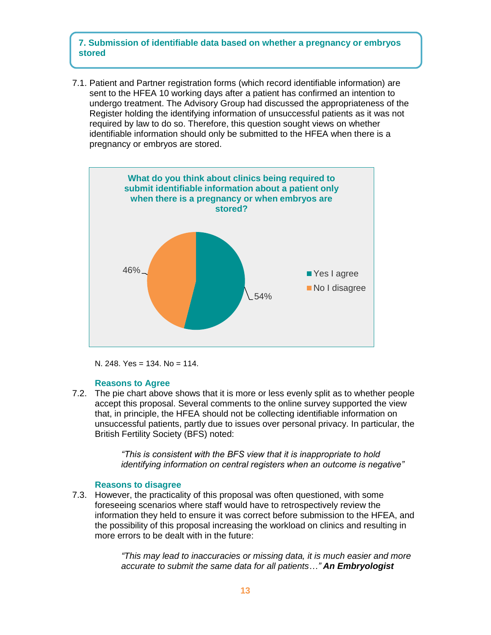# **7. Submission of identifiable data based on whether a pregnancy or embryos stored**

7.1. Patient and Partner registration forms (which record identifiable information) are sent to the HFEA 10 working days after a patient has confirmed an intention to undergo treatment. The Advisory Group had discussed the appropriateness of the Register holding the identifying information of unsuccessful patients as it was not required by law to do so. Therefore, this question sought views on whether identifiable information should only be submitted to the HFEA when there is a pregnancy or embryos are stored.



N. 248. Yes = 134. No = 114.

### **Reasons to Agree**

7.2. The pie chart above shows that it is more or less evenly split as to whether people accept this proposal. Several comments to the online survey supported the view that, in principle, the HFEA should not be collecting identifiable information on unsuccessful patients, partly due to issues over personal privacy. In particular, the British Fertility Society (BFS) noted:

> *"This is consistent with the BFS view that it is inappropriate to hold identifying information on central registers when an outcome is negative"*

### **Reasons to disagree**

7.3. However, the practicality of this proposal was often questioned, with some foreseeing scenarios where staff would have to retrospectively review the information they held to ensure it was correct before submission to the HFEA, and the possibility of this proposal increasing the workload on clinics and resulting in more errors to be dealt with in the future:

> *"This may lead to inaccuracies or missing data, it is much easier and more accurate to submit the same data for all patients…" An Embryologist*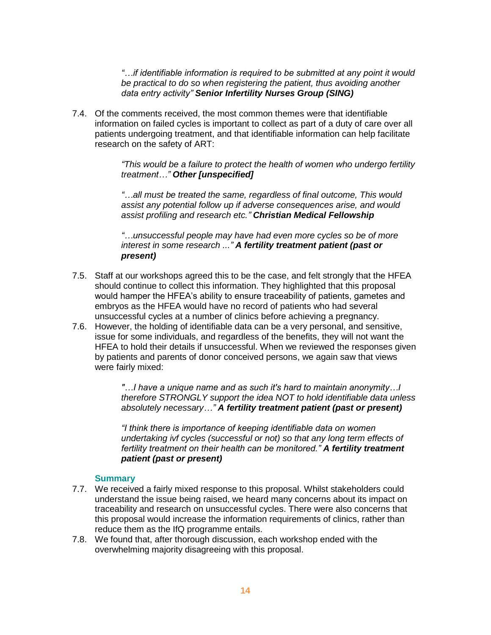*"…if identifiable information is required to be submitted at any point it would be practical to do so when registering the patient, thus avoiding another data entry activity" Senior Infertility Nurses Group (SING)*

7.4. Of the comments received, the most common themes were that identifiable information on failed cycles is important to collect as part of a duty of care over all patients undergoing treatment, and that identifiable information can help facilitate research on the safety of ART:

> *"This would be a failure to protect the health of women who undergo fertility treatment…" Other [unspecified]*

*"…all must be treated the same, regardless of final outcome, This would assist any potential follow up if adverse consequences arise, and would assist profiling and research etc." Christian Medical Fellowship*

*"…unsuccessful people may have had even more cycles so be of more interest in some research ..." A fertility treatment patient (past or present)*

- 7.5. Staff at our workshops agreed this to be the case, and felt strongly that the HFEA should continue to collect this information. They highlighted that this proposal would hamper the HFEA's ability to ensure traceability of patients, gametes and embryos as the HFEA would have no record of patients who had several unsuccessful cycles at a number of clinics before achieving a pregnancy.
- 7.6. However, the holding of identifiable data can be a very personal, and sensitive, issue for some individuals, and regardless of the benefits, they will not want the HFEA to hold their details if unsuccessful. When we reviewed the responses given by patients and parents of donor conceived persons, we again saw that views were fairly mixed:

*"…I have a unique name and as such it's hard to maintain anonymity…I therefore STRONGLY support the idea NOT to hold identifiable data unless absolutely necessary…" A fertility treatment patient (past or present)*

*"I think there is importance of keeping identifiable data on women undertaking ivf cycles (successful or not) so that any long term effects of fertility treatment on their health can be monitored." A fertility treatment patient (past or present)*

## **Summary**

- 7.7. We received a fairly mixed response to this proposal. Whilst stakeholders could understand the issue being raised, we heard many concerns about its impact on traceability and research on unsuccessful cycles. There were also concerns that this proposal would increase the information requirements of clinics, rather than reduce them as the IfQ programme entails.
- 7.8. We found that, after thorough discussion, each workshop ended with the overwhelming majority disagreeing with this proposal.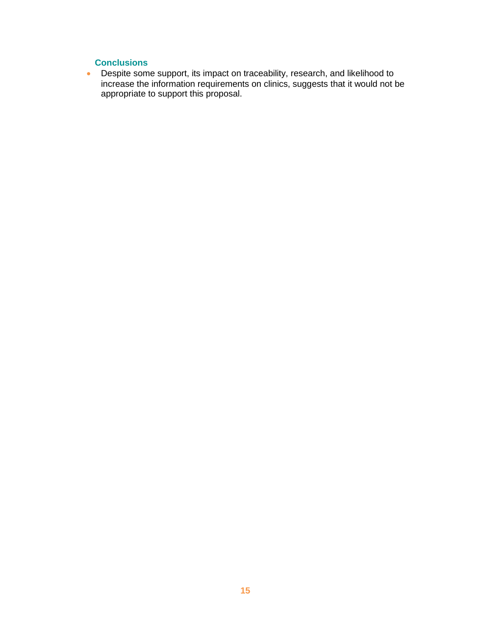# **Conclusions**

 Despite some support, its impact on traceability, research, and likelihood to increase the information requirements on clinics, suggests that it would not be appropriate to support this proposal.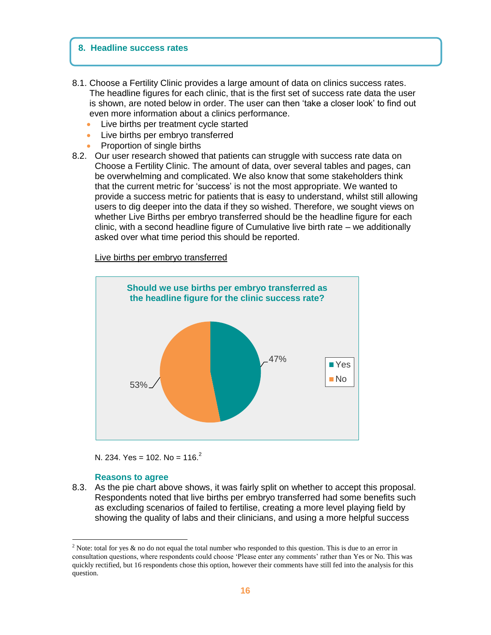#### **8. Headline success rates**

- 8.1. Choose a Fertility Clinic provides a large amount of data on clinics success rates. The headline figures for each clinic, that is the first set of success rate data the user is shown, are noted below in order. The user can then 'take a closer look' to find out even more information about a clinics performance.
	- Live births per treatment cycle started
	- Live births per embryo transferred
	- Proportion of single births
- 8.2. Our user research showed that patients can struggle with success rate data on Choose a Fertility Clinic. The amount of data, over several tables and pages, can be overwhelming and complicated. We also know that some stakeholders think that the current metric for 'success' is not the most appropriate. We wanted to provide a success metric for patients that is easy to understand, whilst still allowing users to dig deeper into the data if they so wished. Therefore, we sought views on whether Live Births per embryo transferred should be the headline figure for each clinic, with a second headline figure of Cumulative live birth rate – we additionally asked over what time period this should be reported.

#### Live births per embryo transferred



N. 234. Yes = 102. No = 116.<sup>2</sup>

#### **Reasons to agree**

 $\overline{a}$ 

8.3. As the pie chart above shows, it was fairly split on whether to accept this proposal. Respondents noted that live births per embryo transferred had some benefits such as excluding scenarios of failed to fertilise, creating a more level playing field by showing the quality of labs and their clinicians, and using a more helpful success

<sup>&</sup>lt;sup>2</sup> Note: total for yes & no do not equal the total number who responded to this question. This is due to an error in consultation questions, where respondents could choose 'Please enter any comments' rather than Yes or No. This was quickly rectified, but 16 respondents chose this option, however their comments have still fed into the analysis for this question.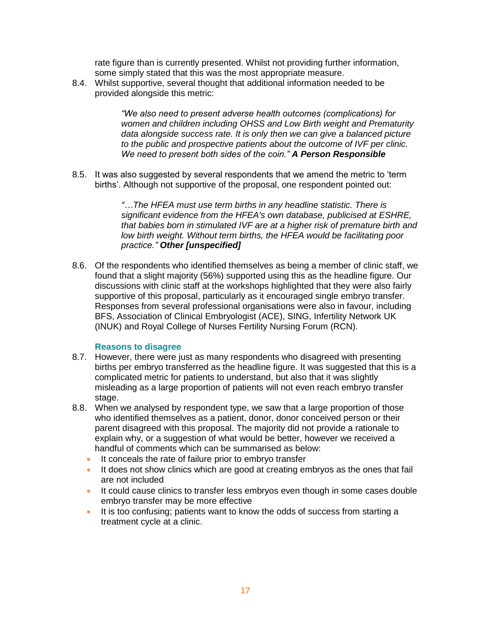rate figure than is currently presented. Whilst not providing further information, some simply stated that this was the most appropriate measure.

8.4. Whilst supportive, several thought that additional information needed to be provided alongside this metric:

> *"We also need to present adverse health outcomes (complications) for women and children including OHSS and Low Birth weight and Prematurity data alongside success rate. It is only then we can give a balanced picture to the public and prospective patients about the outcome of IVF per clinic. We need to present both sides of the coin." A Person Responsible*

8.5. It was also suggested by several respondents that we amend the metric to 'term births'. Although not supportive of the proposal, one respondent pointed out:

> *"…The HFEA must use term births in any headline statistic. There is significant evidence from the HFEA's own database, publicised at ESHRE, that babies born in stimulated IVF are at a higher risk of premature birth and low birth weight. Without term births, the HFEA would be facilitating poor practice." Other [unspecified]*

8.6. Of the respondents who identified themselves as being a member of clinic staff, we found that a slight majority (56%) supported using this as the headline figure. Our discussions with clinic staff at the workshops highlighted that they were also fairly supportive of this proposal, particularly as it encouraged single embryo transfer. Responses from several professional organisations were also in favour, including BFS, Association of Clinical Embryologist (ACE), SING, Infertility Network UK (INUK) and Royal College of Nurses Fertility Nursing Forum (RCN).

### **Reasons to disagree**

- 8.7. However, there were just as many respondents who disagreed with presenting births per embryo transferred as the headline figure. It was suggested that this is a complicated metric for patients to understand, but also that it was slightly misleading as a large proportion of patients will not even reach embryo transfer stage.
- 8.8. When we analysed by respondent type, we saw that a large proportion of those who identified themselves as a patient, donor, donor conceived person or their parent disagreed with this proposal. The majority did not provide a rationale to explain why, or a suggestion of what would be better, however we received a handful of comments which can be summarised as below:
	- It conceals the rate of failure prior to embryo transfer
	- It does not show clinics which are good at creating embryos as the ones that fail are not included
	- It could cause clinics to transfer less embryos even though in some cases double embryo transfer may be more effective
	- It is too confusing; patients want to know the odds of success from starting a treatment cycle at a clinic.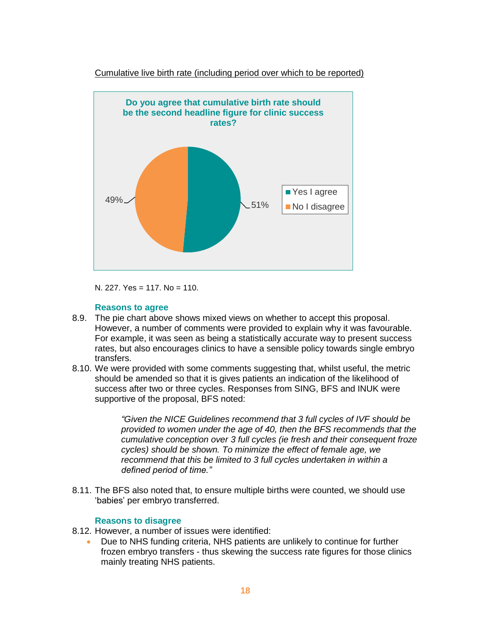

Cumulative live birth rate (including period over which to be reported)

N. 227. Yes = 117. No = 110.

#### **Reasons to agree**

- 8.9. The pie chart above shows mixed views on whether to accept this proposal. However, a number of comments were provided to explain why it was favourable. For example, it was seen as being a statistically accurate way to present success rates, but also encourages clinics to have a sensible policy towards single embryo transfers.
- 8.10. We were provided with some comments suggesting that, whilst useful, the metric should be amended so that it is gives patients an indication of the likelihood of success after two or three cycles. Responses from SING, BFS and INUK were supportive of the proposal, BFS noted:

*"Given the NICE Guidelines recommend that 3 full cycles of IVF should be provided to women under the age of 40, then the BFS recommends that the cumulative conception over 3 full cycles (ie fresh and their consequent froze cycles) should be shown. To minimize the effect of female age, we recommend that this be limited to 3 full cycles undertaken in within a defined period of time."*

8.11. The BFS also noted that, to ensure multiple births were counted, we should use 'babies' per embryo transferred.

### **Reasons to disagree**

- 8.12. However, a number of issues were identified:
	- Due to NHS funding criteria, NHS patients are unlikely to continue for further frozen embryo transfers - thus skewing the success rate figures for those clinics mainly treating NHS patients.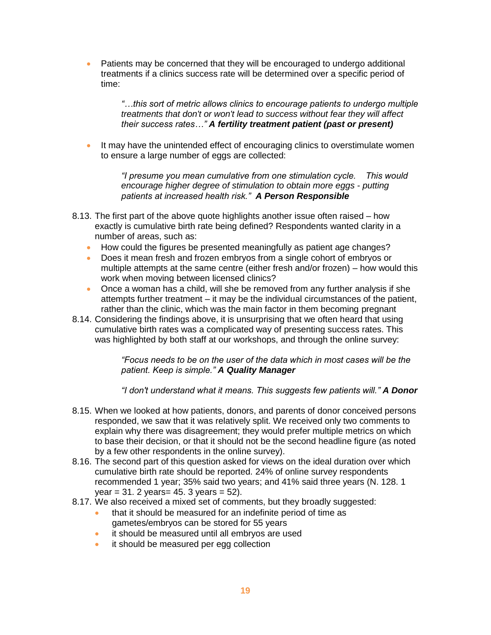• Patients may be concerned that they will be encouraged to undergo additional treatments if a clinics success rate will be determined over a specific period of time:

> *"…this sort of metric allows clinics to encourage patients to undergo multiple treatments that don't or won't lead to success without fear they will affect their success rates…" A fertility treatment patient (past or present)*

It may have the unintended effect of encouraging clinics to overstimulate women to ensure a large number of eggs are collected:

> *"I presume you mean cumulative from one stimulation cycle. This would encourage higher degree of stimulation to obtain more eggs - putting patients at increased health risk." A Person Responsible*

- 8.13. The first part of the above quote highlights another issue often raised how exactly is cumulative birth rate being defined? Respondents wanted clarity in a number of areas, such as:
	- How could the figures be presented meaningfully as patient age changes?
	- Does it mean fresh and frozen embryos from a single cohort of embryos or multiple attempts at the same centre (either fresh and/or frozen) – how would this work when moving between licensed clinics?
	- Once a woman has a child, will she be removed from any further analysis if she attempts further treatment – it may be the individual circumstances of the patient, rather than the clinic, which was the main factor in them becoming pregnant
- 8.14. Considering the findings above, it is unsurprising that we often heard that using cumulative birth rates was a complicated way of presenting success rates. This was highlighted by both staff at our workshops, and through the online survey:

*"Focus needs to be on the user of the data which in most cases will be the patient. Keep is simple." A Quality Manager*

*"I don't understand what it means. This suggests few patients will." A Donor*

- 8.15. When we looked at how patients, donors, and parents of donor conceived persons responded, we saw that it was relatively split. We received only two comments to explain why there was disagreement; they would prefer multiple metrics on which to base their decision, or that it should not be the second headline figure (as noted by a few other respondents in the online survey).
- 8.16. The second part of this question asked for views on the ideal duration over which cumulative birth rate should be reported. 24% of online survey respondents recommended 1 year; 35% said two years; and 41% said three years (N. 128. 1  $year = 31.2 years = 45.3 years = 52.$
- 8.17. We also received a mixed set of comments, but they broadly suggested:
	- that it should be measured for an indefinite period of time as gametes/embryos can be stored for 55 years
	- it should be measured until all embryos are used
	- it should be measured per egg collection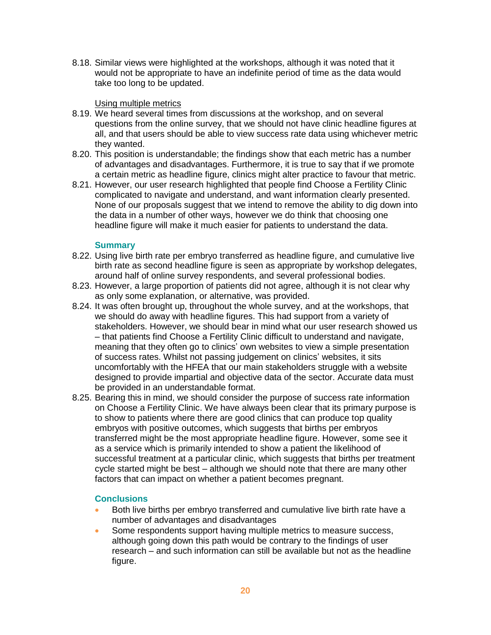8.18. Similar views were highlighted at the workshops, although it was noted that it would not be appropriate to have an indefinite period of time as the data would take too long to be updated.

## Using multiple metrics

- 8.19. We heard several times from discussions at the workshop, and on several questions from the online survey, that we should not have clinic headline figures at all, and that users should be able to view success rate data using whichever metric they wanted.
- 8.20. This position is understandable; the findings show that each metric has a number of advantages and disadvantages. Furthermore, it is true to say that if we promote a certain metric as headline figure, clinics might alter practice to favour that metric.
- 8.21. However, our user research highlighted that people find Choose a Fertility Clinic complicated to navigate and understand, and want information clearly presented. None of our proposals suggest that we intend to remove the ability to dig down into the data in a number of other ways, however we do think that choosing one headline figure will make it much easier for patients to understand the data.

## **Summary**

- 8.22. Using live birth rate per embryo transferred as headline figure, and cumulative live birth rate as second headline figure is seen as appropriate by workshop delegates, around half of online survey respondents, and several professional bodies.
- 8.23. However, a large proportion of patients did not agree, although it is not clear why as only some explanation, or alternative, was provided.
- 8.24. It was often brought up, throughout the whole survey, and at the workshops, that we should do away with headline figures. This had support from a variety of stakeholders. However, we should bear in mind what our user research showed us – that patients find Choose a Fertility Clinic difficult to understand and navigate, meaning that they often go to clinics' own websites to view a simple presentation of success rates. Whilst not passing judgement on clinics' websites, it sits uncomfortably with the HFEA that our main stakeholders struggle with a website designed to provide impartial and objective data of the sector. Accurate data must be provided in an understandable format.
- 8.25. Bearing this in mind, we should consider the purpose of success rate information on Choose a Fertility Clinic. We have always been clear that its primary purpose is to show to patients where there are good clinics that can produce top quality embryos with positive outcomes, which suggests that births per embryos transferred might be the most appropriate headline figure. However, some see it as a service which is primarily intended to show a patient the likelihood of successful treatment at a particular clinic, which suggests that births per treatment cycle started might be best – although we should note that there are many other factors that can impact on whether a patient becomes pregnant.

# **Conclusions**

- Both live births per embryo transferred and cumulative live birth rate have a number of advantages and disadvantages
- Some respondents support having multiple metrics to measure success, although going down this path would be contrary to the findings of user research – and such information can still be available but not as the headline figure.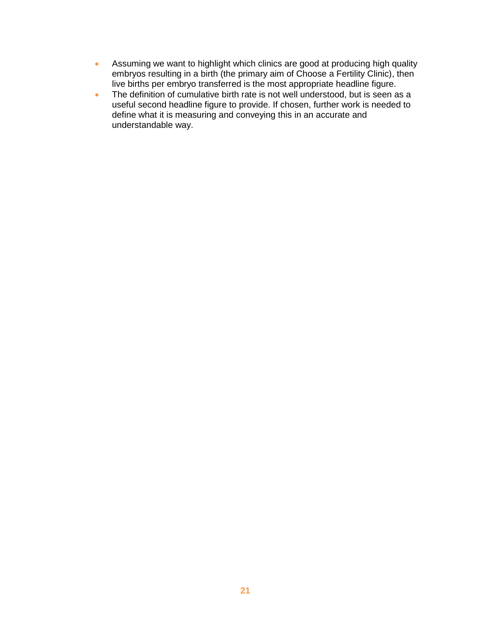- Assuming we want to highlight which clinics are good at producing high quality embryos resulting in a birth (the primary aim of Choose a Fertility Clinic), then live births per embryo transferred is the most appropriate headline figure.
- The definition of cumulative birth rate is not well understood, but is seen as a useful second headline figure to provide. If chosen, further work is needed to define what it is measuring and conveying this in an accurate and understandable way.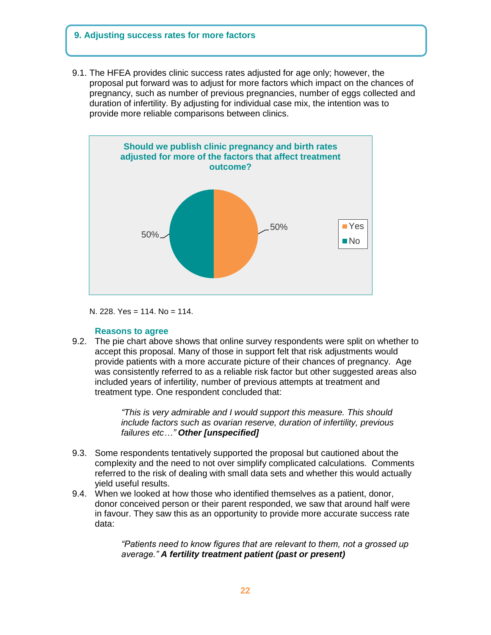# **9. Adjusting success rates for more factors**

9.1. The HFEA provides clinic success rates adjusted for age only; however, the proposal put forward was to adjust for more factors which impact on the chances of pregnancy, such as number of previous pregnancies, number of eggs collected and duration of infertility. By adjusting for individual case mix, the intention was to provide more reliable comparisons between clinics.



N. 228. Yes = 114. No = 114.

### **Reasons to agree**

9.2. The pie chart above shows that online survey respondents were split on whether to accept this proposal. Many of those in support felt that risk adjustments would provide patients with a more accurate picture of their chances of pregnancy. Age was consistently referred to as a reliable risk factor but other suggested areas also included years of infertility, number of previous attempts at treatment and treatment type. One respondent concluded that:

> *"This is very admirable and I would support this measure. This should include factors such as ovarian reserve, duration of infertility, previous failures etc…" Other [unspecified]*

- 9.3. Some respondents tentatively supported the proposal but cautioned about the complexity and the need to not over simplify complicated calculations. Comments referred to the risk of dealing with small data sets and whether this would actually yield useful results.
- 9.4. When we looked at how those who identified themselves as a patient, donor, donor conceived person or their parent responded, we saw that around half were in favour. They saw this as an opportunity to provide more accurate success rate data:

*"Patients need to know figures that are relevant to them, not a grossed up average." A fertility treatment patient (past or present)*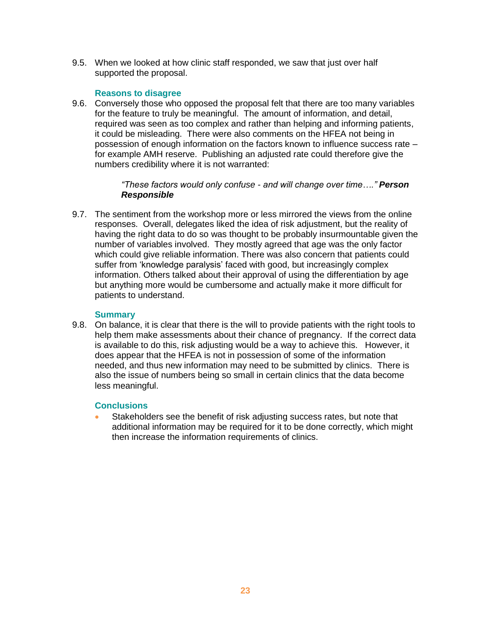9.5. When we looked at how clinic staff responded, we saw that just over half supported the proposal.

## **Reasons to disagree**

9.6. Conversely those who opposed the proposal felt that there are too many variables for the feature to truly be meaningful. The amount of information, and detail, required was seen as too complex and rather than helping and informing patients, it could be misleading. There were also comments on the HFEA not being in possession of enough information on the factors known to influence success rate – for example AMH reserve. Publishing an adjusted rate could therefore give the numbers credibility where it is not warranted:

## *"These factors would only confuse - and will change over time…." Person Responsible*

9.7. The sentiment from the workshop more or less mirrored the views from the online responses. Overall, delegates liked the idea of risk adjustment, but the reality of having the right data to do so was thought to be probably insurmountable given the number of variables involved. They mostly agreed that age was the only factor which could give reliable information. There was also concern that patients could suffer from 'knowledge paralysis' faced with good, but increasingly complex information. Others talked about their approval of using the differentiation by age but anything more would be cumbersome and actually make it more difficult for patients to understand.

## **Summary**

9.8. On balance, it is clear that there is the will to provide patients with the right tools to help them make assessments about their chance of pregnancy. If the correct data is available to do this, risk adjusting would be a way to achieve this. However, it does appear that the HFEA is not in possession of some of the information needed, and thus new information may need to be submitted by clinics. There is also the issue of numbers being so small in certain clinics that the data become less meaningful.

# **Conclusions**

 Stakeholders see the benefit of risk adjusting success rates, but note that additional information may be required for it to be done correctly, which might then increase the information requirements of clinics.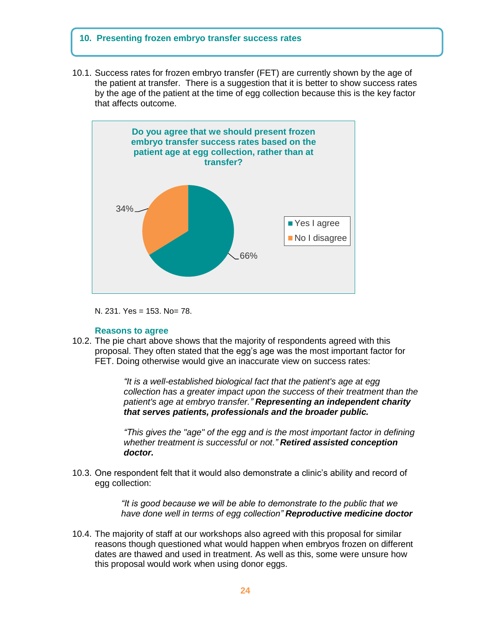### **10. Presenting frozen embryo transfer success rates**

10.1. Success rates for frozen embryo transfer (FET) are currently shown by the age of the patient at transfer. There is a suggestion that it is better to show success rates by the age of the patient at the time of egg collection because this is the key factor that affects outcome.



N. 231. Yes = 153. No= 78.

#### **Reasons to agree**

10.2. The pie chart above shows that the majority of respondents agreed with this proposal. They often stated that the egg's age was the most important factor for FET. Doing otherwise would give an inaccurate view on success rates:

> *"It is a well-established biological fact that the patient's age at egg collection has a greater impact upon the success of their treatment than the patient's age at embryo transfer." Representing an independent charity that serves patients, professionals and the broader public.*

> *"This gives the "age" of the egg and is the most important factor in defining whether treatment is successful or not." Retired assisted conception doctor.*

10.3. One respondent felt that it would also demonstrate a clinic's ability and record of egg collection:

> *"It is good because we will be able to demonstrate to the public that we have done well in terms of egg collection" Reproductive medicine doctor*

10.4. The majority of staff at our workshops also agreed with this proposal for similar reasons though questioned what would happen when embryos frozen on different dates are thawed and used in treatment. As well as this, some were unsure how this proposal would work when using donor eggs.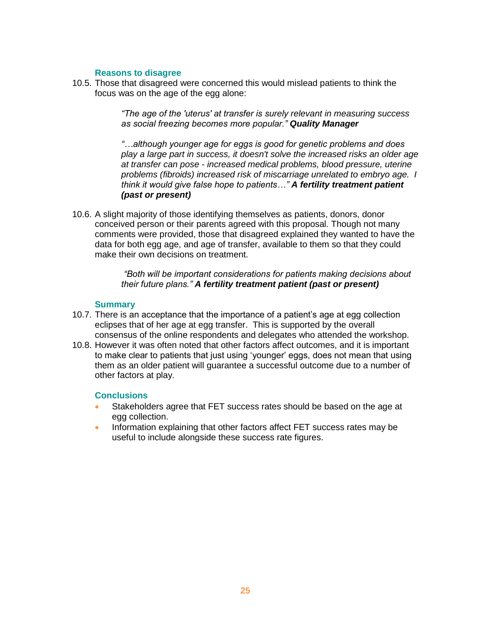## **Reasons to disagree**

10.5. Those that disagreed were concerned this would mislead patients to think the focus was on the age of the egg alone:

> *"The age of the 'uterus' at transfer is surely relevant in measuring success as social freezing becomes more popular." Quality Manager*

*"…although younger age for eggs is good for genetic problems and does play a large part in success, it doesn't solve the increased risks an older age at transfer can pose - increased medical problems, blood pressure, uterine problems (fibroids) increased risk of miscarriage unrelated to embryo age. I think it would give false hope to patients…" A fertility treatment patient (past or present)*

10.6. A slight majority of those identifying themselves as patients, donors, donor conceived person or their parents agreed with this proposal. Though not many comments were provided, those that disagreed explained they wanted to have the data for both egg age, and age of transfer, available to them so that they could make their own decisions on treatment.

> *"Both will be important considerations for patients making decisions about their future plans." A fertility treatment patient (past or present)*

### **Summary**

- 10.7. There is an acceptance that the importance of a patient's age at egg collection eclipses that of her age at egg transfer. This is supported by the overall consensus of the online respondents and delegates who attended the workshop.
- 10.8. However it was often noted that other factors affect outcomes, and it is important to make clear to patients that just using 'younger' eggs, does not mean that using them as an older patient will guarantee a successful outcome due to a number of other factors at play.

### **Conclusions**

- Stakeholders agree that FET success rates should be based on the age at egg collection.
- Information explaining that other factors affect FET success rates may be useful to include alongside these success rate figures.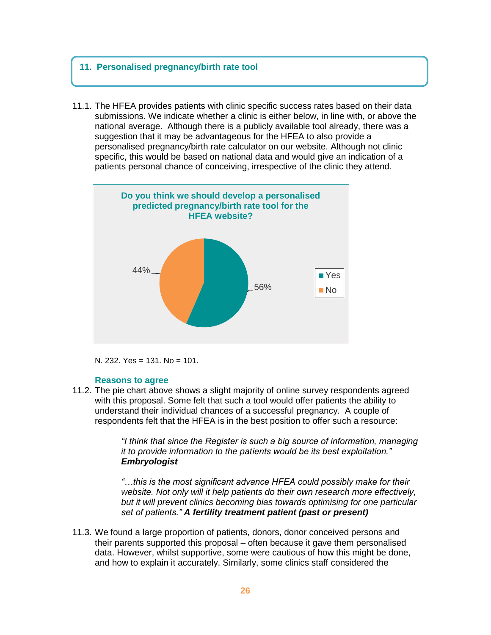#### **11. Personalised pregnancy/birth rate tool**  $\mathcal{L}$  to include near to the success rate figures.

11.1. The HFEA provides patients with clinic specific success rates based on their data submissions. We indicate whether a clinic is either below, in line with, or above the national average. Although there is a publicly available tool already, there was a suggestion that it may be advantageous for the HFEA to also provide a personalised pregnancy/birth rate calculator on our website. Although not clinic specific, this would be based on national data and would give an indication of a patients personal chance of conceiving, irrespective of the clinic they attend.





### **Reasons to agree**

11.2. The pie chart above shows a slight majority of online survey respondents agreed with this proposal. Some felt that such a tool would offer patients the ability to understand their individual chances of a successful pregnancy. A couple of respondents felt that the HFEA is in the best position to offer such a resource:

> *"I think that since the Register is such a big source of information, managing it to provide information to the patients would be its best exploitation." Embryologist*

> *"…this is the most significant advance HFEA could possibly make for their website. Not only will it help patients do their own research more effectively, but it will prevent clinics becoming bias towards optimising for one particular set of patients." A fertility treatment patient (past or present)*

11.3. We found a large proportion of patients, donors, donor conceived persons and their parents supported this proposal – often because it gave them personalised data. However, whilst supportive, some were cautious of how this might be done, and how to explain it accurately. Similarly, some clinics staff considered the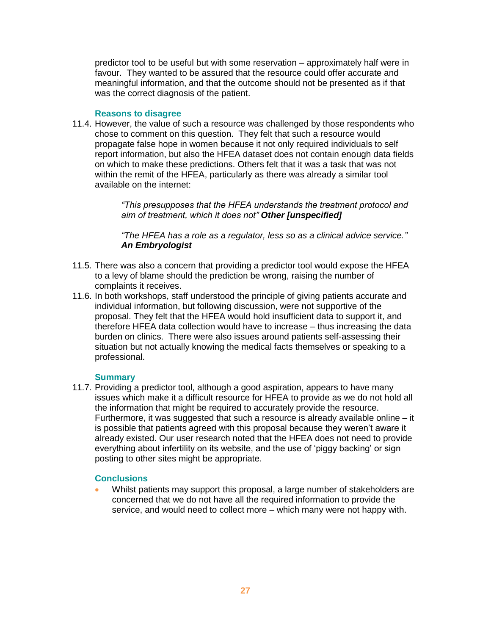predictor tool to be useful but with some reservation – approximately half were in favour. They wanted to be assured that the resource could offer accurate and meaningful information, and that the outcome should not be presented as if that was the correct diagnosis of the patient.

### **Reasons to disagree**

11.4. However, the value of such a resource was challenged by those respondents who chose to comment on this question. They felt that such a resource would propagate false hope in women because it not only required individuals to self report information, but also the HFEA dataset does not contain enough data fields on which to make these predictions. Others felt that it was a task that was not within the remit of the HFEA, particularly as there was already a similar tool available on the internet:

> *"This presupposes that the HFEA understands the treatment protocol and aim of treatment, which it does not" Other [unspecified]*

> *"The HFEA has a role as a regulator, less so as a clinical advice service." An Embryologist*

- 11.5. There was also a concern that providing a predictor tool would expose the HFEA to a levy of blame should the prediction be wrong, raising the number of complaints it receives.
- 11.6. In both workshops, staff understood the principle of giving patients accurate and individual information, but following discussion, were not supportive of the proposal. They felt that the HFEA would hold insufficient data to support it, and therefore HFEA data collection would have to increase – thus increasing the data burden on clinics. There were also issues around patients self-assessing their situation but not actually knowing the medical facts themselves or speaking to a professional.

### **Summary**

11.7. Providing a predictor tool, although a good aspiration, appears to have many issues which make it a difficult resource for HFEA to provide as we do not hold all the information that might be required to accurately provide the resource. Furthermore, it was suggested that such a resource is already available online – it is possible that patients agreed with this proposal because they weren't aware it already existed. Our user research noted that the HFEA does not need to provide everything about infertility on its website, and the use of 'piggy backing' or sign posting to other sites might be appropriate.

### **Conclusions**

 Whilst patients may support this proposal, a large number of stakeholders are concerned that we do not have all the required information to provide the service, and would need to collect more – which many were not happy with.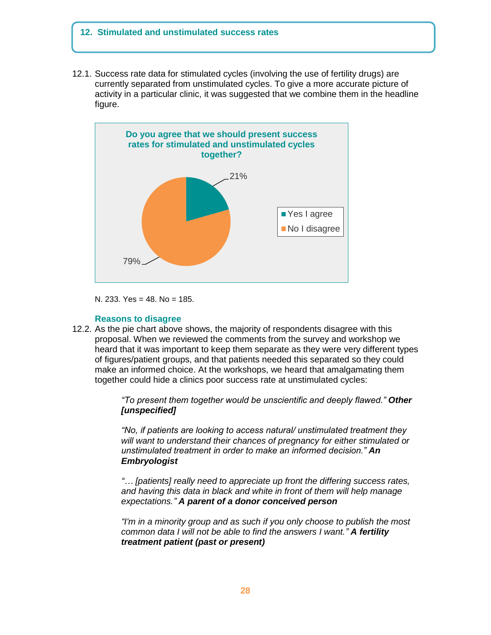### **12. Stimulated and unstimulated success rates**

12.1. Success rate data for stimulated cycles (involving the use of fertility drugs) are currently separated from unstimulated cycles. To give a more accurate picture of activity in a particular clinic, it was suggested that we combine them in the headline figure.



N. 233. Yes = 48. No = 185.

#### **Reasons to disagree**

12.2. As the pie chart above shows, the majority of respondents disagree with this proposal. When we reviewed the comments from the survey and workshop we heard that it was important to keep them separate as they were very different types of figures/patient groups, and that patients needed this separated so they could make an informed choice. At the workshops, we heard that amalgamating them together could hide a clinics poor success rate at unstimulated cycles:

> *"To present them together would be unscientific and deeply flawed." Other [unspecified]*

> *"No, if patients are looking to access natural/ unstimulated treatment they will want to understand their chances of pregnancy for either stimulated or unstimulated treatment in order to make an informed decision." An Embryologist*

> *"… [patients] really need to appreciate up front the differing success rates, and having this data in black and white in front of them will help manage expectations." A parent of a donor conceived person*

> *"I'm in a minority group and as such if you only choose to publish the most common data I will not be able to find the answers I want." A fertility treatment patient (past or present)*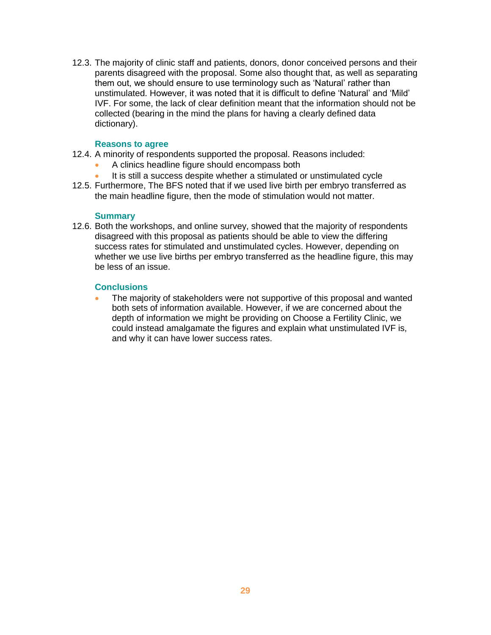12.3. The majority of clinic staff and patients, donors, donor conceived persons and their parents disagreed with the proposal. Some also thought that, as well as separating them out, we should ensure to use terminology such as 'Natural' rather than unstimulated. However, it was noted that it is difficult to define 'Natural' and 'Mild' IVF. For some, the lack of clear definition meant that the information should not be collected (bearing in the mind the plans for having a clearly defined data dictionary).

### **Reasons to agree**

- 12.4. A minority of respondents supported the proposal. Reasons included:
	- A clinics headline figure should encompass both
	- It is still a success despite whether a stimulated or unstimulated cycle
- 12.5. Furthermore, The BFS noted that if we used live birth per embryo transferred as the main headline figure, then the mode of stimulation would not matter.

### **Summary**

12.6. Both the workshops, and online survey, showed that the majority of respondents disagreed with this proposal as patients should be able to view the differing success rates for stimulated and unstimulated cycles. However, depending on whether we use live births per embryo transferred as the headline figure, this may be less of an issue.

## **Conclusions**

 The majority of stakeholders were not supportive of this proposal and wanted both sets of information available. However, if we are concerned about the depth of information we might be providing on Choose a Fertility Clinic, we could instead amalgamate the figures and explain what unstimulated IVF is, and why it can have lower success rates.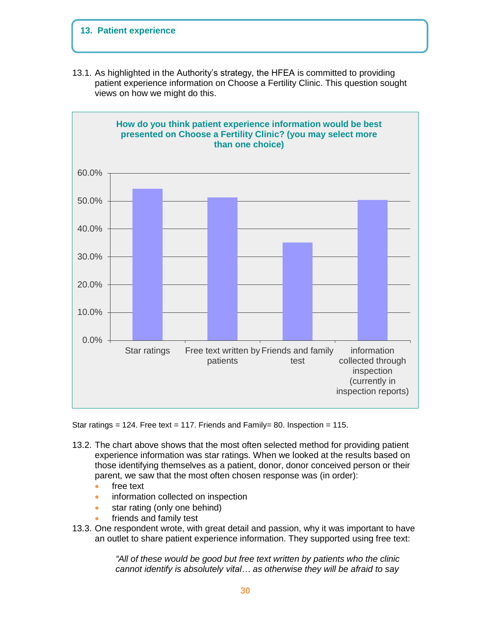# **13. Patient experience**

13.1. As highlighted in the Authority's strategy, the HFEA is committed to providing patient experience information on Choose a Fertility Clinic. This question sought views on how we might do this.



Star ratings = 124. Free text = 117. Friends and Family= 80. Inspection = 115.

- 13.2. The chart above shows that the most often selected method for providing patient experience information was star ratings. When we looked at the results based on those identifying themselves as a patient, donor, donor conceived person or their parent, we saw that the most often chosen response was (in order):
	- free text
	- information collected on inspection
	- star rating (only one behind)
	- friends and family test
- 13.3. One respondent wrote, with great detail and passion, why it was important to have an outlet to share patient experience information. They supported using free text:

*"All of these would be good but free text written by patients who the clinic cannot identify is absolutely vital… as otherwise they will be afraid to say*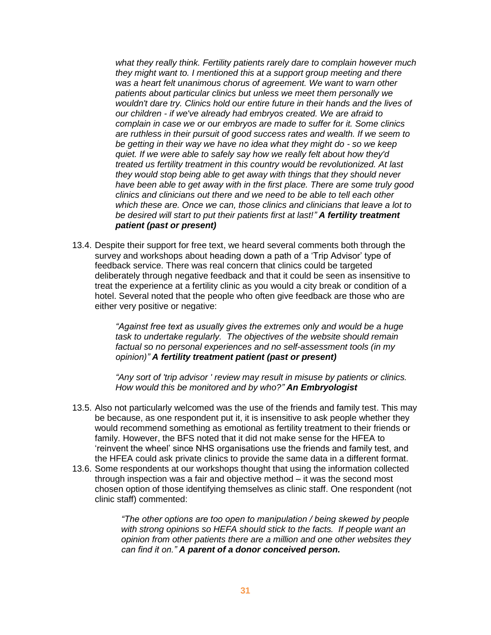*what they really think. Fertility patients rarely dare to complain however much they might want to. I mentioned this at a support group meeting and there was a heart felt unanimous chorus of agreement. We want to warn other patients about particular clinics but unless we meet them personally we wouldn't dare try. Clinics hold our entire future in their hands and the lives of our children - if we've already had embryos created. We are afraid to complain in case we or our embryos are made to suffer for it. Some clinics are ruthless in their pursuit of good success rates and wealth. If we seem to be getting in their way we have no idea what they might do - so we keep quiet. If we were able to safely say how we really felt about how they'd treated us fertility treatment in this country would be revolutionized. At last they would stop being able to get away with things that they should never have been able to get away with in the first place. There are some truly good clinics and clinicians out there and we need to be able to tell each other which these are. Once we can, those clinics and clinicians that leave a lot to be desired will start to put their patients first at last!" A fertility treatment patient (past or present)*

13.4. Despite their support for free text, we heard several comments both through the survey and workshops about heading down a path of a 'Trip Advisor' type of feedback service. There was real concern that clinics could be targeted deliberately through negative feedback and that it could be seen as insensitive to treat the experience at a fertility clinic as you would a city break or condition of a hotel. Several noted that the people who often give feedback are those who are either very positive or negative:

> *"Against free text as usually gives the extremes only and would be a huge task to undertake regularly. The objectives of the website should remain factual so no personal experiences and no self-assessment tools (in my opinion)" A fertility treatment patient (past or present)*

*"Any sort of 'trip advisor ' review may result in misuse by patients or clinics. How would this be monitored and by who?" An Embryologist* 

- 13.5. Also not particularly welcomed was the use of the friends and family test. This may be because, as one respondent put it, it is insensitive to ask people whether they would recommend something as emotional as fertility treatment to their friends or family. However, the BFS noted that it did not make sense for the HFEA to 'reinvent the wheel' since NHS organisations use the friends and family test, and the HFEA could ask private clinics to provide the same data in a different format.
- 13.6. Some respondents at our workshops thought that using the information collected through inspection was a fair and objective method – it was the second most chosen option of those identifying themselves as clinic staff. One respondent (not clinic staff) commented:

*"The other options are too open to manipulation / being skewed by people with strong opinions so HEFA should stick to the facts. If people want an opinion from other patients there are a million and one other websites they can find it on." A parent of a donor conceived person.*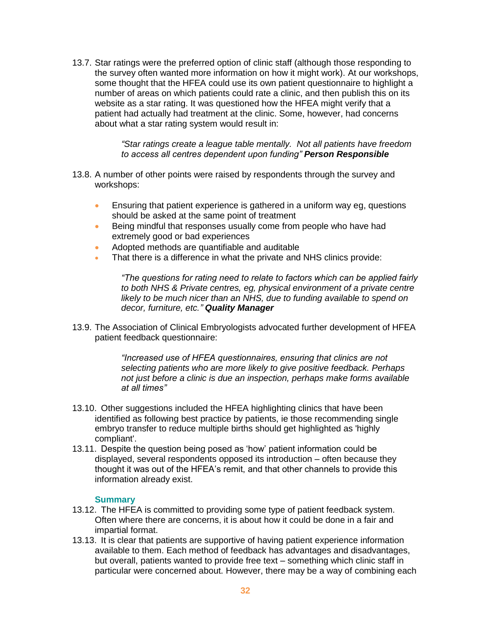13.7. Star ratings were the preferred option of clinic staff (although those responding to the survey often wanted more information on how it might work). At our workshops, some thought that the HFEA could use its own patient questionnaire to highlight a number of areas on which patients could rate a clinic, and then publish this on its website as a star rating. It was questioned how the HFEA might verify that a patient had actually had treatment at the clinic. Some, however, had concerns about what a star rating system would result in:

> *"Star ratings create a league table mentally. Not all patients have freedom to access all centres dependent upon funding" Person Responsible*

- 13.8. A number of other points were raised by respondents through the survey and workshops:
	- Ensuring that patient experience is gathered in a uniform way eg, questions should be asked at the same point of treatment
	- Being mindful that responses usually come from people who have had extremely good or bad experiences
	- Adopted methods are quantifiable and auditable
	- That there is a difference in what the private and NHS clinics provide:

*"The questions for rating need to relate to factors which can be applied fairly to both NHS & Private centres, eg, physical environment of a private centre likely to be much nicer than an NHS, due to funding available to spend on decor, furniture, etc." Quality Manager*

13.9. The Association of Clinical Embryologists advocated further development of HFEA patient feedback questionnaire:

> *"Increased use of HFEA questionnaires, ensuring that clinics are not selecting patients who are more likely to give positive feedback. Perhaps not just before a clinic is due an inspection, perhaps make forms available at all times"*

- 13.10. Other suggestions included the HFEA highlighting clinics that have been identified as following best practice by patients, ie those recommending single embryo transfer to reduce multiple births should get highlighted as 'highly compliant'.
- 13.11. Despite the question being posed as 'how' patient information could be displayed, several respondents opposed its introduction – often because they thought it was out of the HFEA's remit, and that other channels to provide this information already exist.

#### **Summary**

- 13.12. The HFEA is committed to providing some type of patient feedback system. Often where there are concerns, it is about how it could be done in a fair and impartial format.
- 13.13. It is clear that patients are supportive of having patient experience information available to them. Each method of feedback has advantages and disadvantages, but overall, patients wanted to provide free text – something which clinic staff in particular were concerned about. However, there may be a way of combining each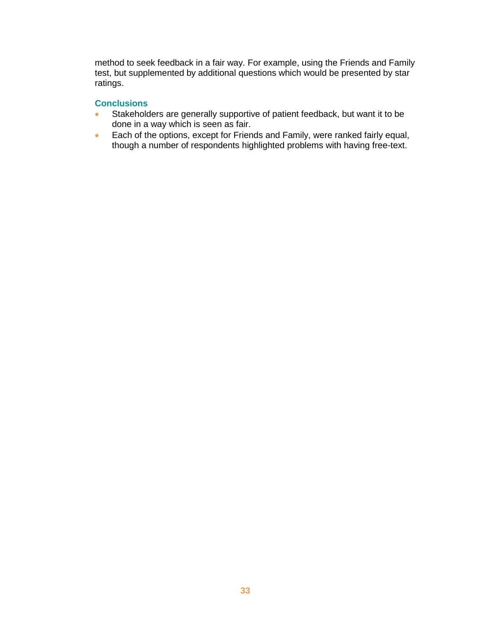method to seek feedback in a fair way. For example, using the Friends and Family test, but supplemented by additional questions which would be presented by star ratings.

### **Conclusions**

- Stakeholders are generally supportive of patient feedback, but want it to be done in a way which is seen as fair.
- Each of the options, except for Friends and Family, were ranked fairly equal, though a number of respondents highlighted problems with having free-text.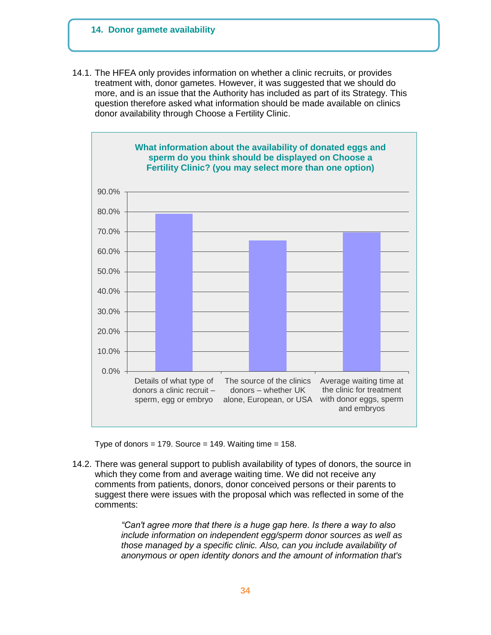### **14. Donor gamete availability**

14.1. The HFEA only provides information on whether a clinic recruits, or provides treatment with, donor gametes. However, it was suggested that we should do more, and is an issue that the Authority has included as part of its Strategy. This question therefore asked what information should be made available on clinics donor availability through Choose a Fertility Clinic.



Type of donors = 179. Source = 149. Waiting time =  $158$ .

14.2. There was general support to publish availability of types of donors, the source in which they come from and average waiting time. We did not receive any comments from patients, donors, donor conceived persons or their parents to suggest there were issues with the proposal which was reflected in some of the comments:

> *"Can't agree more that there is a huge gap here. Is there a way to also include information on independent egg/sperm donor sources as well as those managed by a specific clinic. Also, can you include availability of anonymous or open identity donors and the amount of information that's*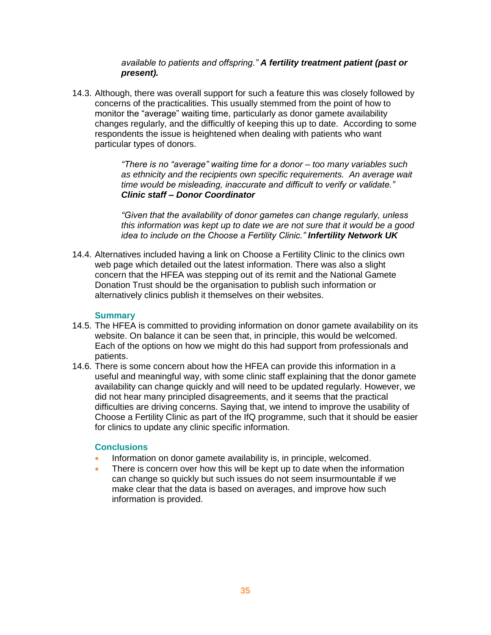## *available to patients and offspring." A fertility treatment patient (past or present).*

14.3. Although, there was overall support for such a feature this was closely followed by concerns of the practicalities. This usually stemmed from the point of how to monitor the "average" waiting time, particularly as donor gamete availability changes regularly, and the difficultly of keeping this up to date. According to some respondents the issue is heightened when dealing with patients who want particular types of donors.

> *"There is no "average" waiting time for a donor – too many variables such as ethnicity and the recipients own specific requirements. An average wait time would be misleading, inaccurate and difficult to verify or validate." Clinic staff – Donor Coordinator*

> *"Given that the availability of donor gametes can change regularly, unless this information was kept up to date we are not sure that it would be a good idea to include on the Choose a Fertility Clinic." Infertility Network UK*

14.4. Alternatives included having a link on Choose a Fertility Clinic to the clinics own web page which detailed out the latest information. There was also a slight concern that the HFEA was stepping out of its remit and the National Gamete Donation Trust should be the organisation to publish such information or alternatively clinics publish it themselves on their websites.

### **Summary**

- 14.5. The HFEA is committed to providing information on donor gamete availability on its website. On balance it can be seen that, in principle, this would be welcomed. Each of the options on how we might do this had support from professionals and patients.
- 14.6. There is some concern about how the HFEA can provide this information in a useful and meaningful way, with some clinic staff explaining that the donor gamete availability can change quickly and will need to be updated regularly. However, we did not hear many principled disagreements, and it seems that the practical difficulties are driving concerns. Saying that, we intend to improve the usability of Choose a Fertility Clinic as part of the IfQ programme, such that it should be easier for clinics to update any clinic specific information.

### **Conclusions**

- Information on donor gamete availability is, in principle, welcomed.
- There is concern over how this will be kept up to date when the information can change so quickly but such issues do not seem insurmountable if we make clear that the data is based on averages, and improve how such information is provided.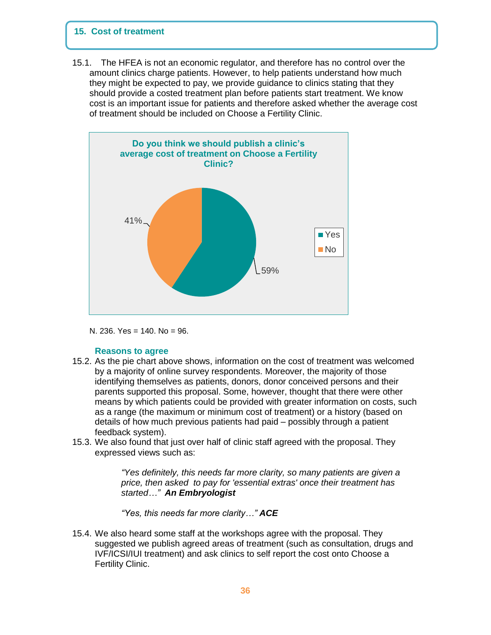## **15. Cost of treatment**

15.1. The HFEA is not an economic regulator, and therefore has no control over the amount clinics charge patients. However, to help patients understand how much they might be expected to pay, we provide guidance to clinics stating that they should provide a costed treatment plan before patients start treatment. We know cost is an important issue for patients and therefore asked whether the average cost of treatment should be included on Choose a Fertility Clinic.



N. 236. Yes = 140. No = 96.

### **Reasons to agree**

- 15.2. As the pie chart above shows, information on the cost of treatment was welcomed by a majority of online survey respondents. Moreover, the majority of those identifying themselves as patients, donors, donor conceived persons and their parents supported this proposal. Some, however, thought that there were other means by which patients could be provided with greater information on costs, such as a range (the maximum or minimum cost of treatment) or a history (based on details of how much previous patients had paid – possibly through a patient feedback system).
- 15.3. We also found that just over half of clinic staff agreed with the proposal. They expressed views such as:

*"Yes definitely, this needs far more clarity, so many patients are given a price, then asked to pay for 'essential extras' once their treatment has started…" An Embryologist*

*"Yes, this needs far more clarity…" ACE*

15.4. We also heard some staff at the workshops agree with the proposal. They suggested we publish agreed areas of treatment (such as consultation, drugs and IVF/ICSI/IUI treatment) and ask clinics to self report the cost onto Choose a Fertility Clinic.